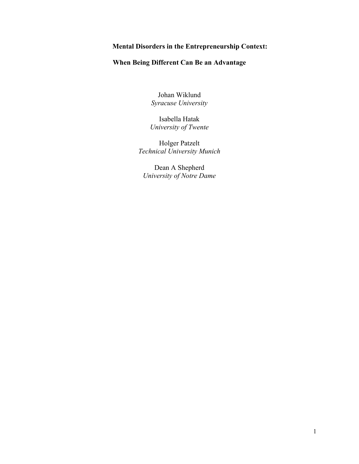## **Mental Disorders in the Entrepreneurship Context:**

# **When Being Different Can Be an Advantage**

Johan Wiklund *Syracuse University*

Isabella Hatak *University of Twente*

Holger Patzelt *Technical University Munich*

Dean A Shepherd *University of Notre Dame*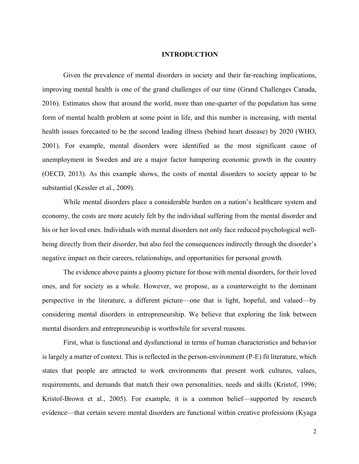#### **INTRODUCTION**

Given the prevalence of mental disorders in society and their far-reaching implications, improving mental health is one of the grand challenges of our time (Grand Challenges Canada, 2016). Estimates show that around the world, more than one-quarter of the population has some form of mental health problem at some point in life, and this number is increasing, with mental health issues forecasted to be the second leading illness (behind heart disease) by 2020 (WHO, 2001). For example, mental disorders were identified as the most significant cause of unemployment in Sweden and are a major factor hampering economic growth in the country (OECD, 2013). As this example shows, the costs of mental disorders to society appear to be substantial (Kessler et al., 2009).

While mental disorders place a considerable burden on a nation's healthcare system and economy, the costs are more acutely felt by the individual suffering from the mental disorder and his or her loved ones. Individuals with mental disorders not only face reduced psychological wellbeing directly from their disorder, but also feel the consequences indirectly through the disorder's negative impact on their careers, relationships, and opportunities for personal growth.

The evidence above paints a gloomy picture for those with mental disorders, for their loved ones, and for society as a whole. However, we propose, as a counterweight to the dominant perspective in the literature, a different picture—one that is light, hopeful, and valued—by considering mental disorders in entrepreneurship. We believe that exploring the link between mental disorders and entrepreneurship is worthwhile for several reasons.

First, what is functional and dysfunctional in terms of human characteristics and behavior is largely a matter of context. This is reflected in the person-environment (P-E) fit literature, which states that people are attracted to work environments that present work cultures, values, requirements, and demands that match their own personalities, needs and skills (Kristof, 1996; Kristof-Brown et al., 2005). For example, it is a common belief—supported by research evidence—that certain severe mental disorders are functional within creative professions (Kyaga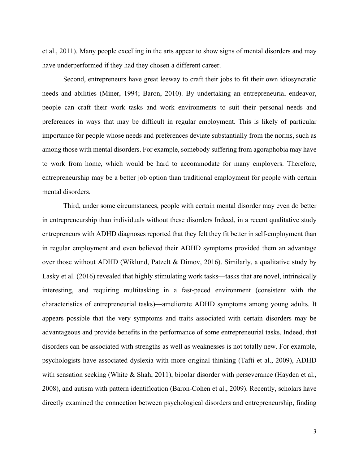et al., 2011). Many people excelling in the arts appear to show signs of mental disorders and may have underperformed if they had they chosen a different career.

Second, entrepreneurs have great leeway to craft their jobs to fit their own idiosyncratic needs and abilities (Miner, 1994; Baron, 2010). By undertaking an entrepreneurial endeavor, people can craft their work tasks and work environments to suit their personal needs and preferences in ways that may be difficult in regular employment. This is likely of particular importance for people whose needs and preferences deviate substantially from the norms, such as among those with mental disorders. For example, somebody suffering from agoraphobia may have to work from home, which would be hard to accommodate for many employers. Therefore, entrepreneurship may be a better job option than traditional employment for people with certain mental disorders.

Third, under some circumstances, people with certain mental disorder may even do better in entrepreneurship than individuals without these disorders Indeed, in a recent qualitative study entrepreneurs with ADHD diagnoses reported that they felt they fit better in self-employment than in regular employment and even believed their ADHD symptoms provided them an advantage over those without ADHD (Wiklund, Patzelt & Dimov, 2016). Similarly, a qualitative study by Lasky et al. (2016) revealed that highly stimulating work tasks—tasks that are novel, intrinsically interesting, and requiring multitasking in a fast-paced environment (consistent with the characteristics of entrepreneurial tasks)—ameliorate ADHD symptoms among young adults. It appears possible that the very symptoms and traits associated with certain disorders may be advantageous and provide benefits in the performance of some entrepreneurial tasks. Indeed, that disorders can be associated with strengths as well as weaknesses is not totally new. For example, psychologists have associated dyslexia with more original thinking (Tafti et al., 2009), ADHD with sensation seeking (White & Shah, 2011), bipolar disorder with perseverance (Hayden et al., 2008), and autism with pattern identification (Baron-Cohen et al., 2009). Recently, scholars have directly examined the connection between psychological disorders and entrepreneurship, finding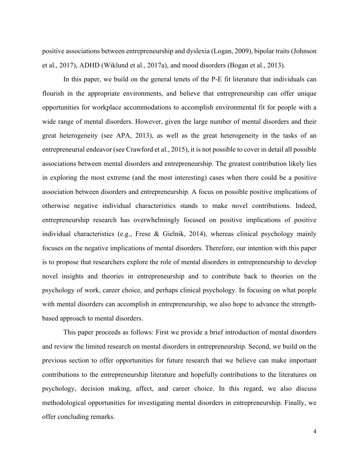positive associations between entrepreneurship and dyslexia (Logan, 2009), bipolar traits (Johnson et al., 2017), ADHD (Wiklund et al., 2017a), and mood disorders (Bogan et al., 2013).

In this paper, we build on the general tenets of the P-E fit literature that individuals can flourish in the appropriate environments, and believe that entrepreneurship can offer unique opportunities for workplace accommodations to accomplish environmental fit for people with a wide range of mental disorders. However, given the large number of mental disorders and their great heterogeneity (see APA, 2013), as well as the great heterogeneity in the tasks of an entrepreneurial endeavor (see Crawford et al., 2015), it is not possible to cover in detail all possible associations between mental disorders and entrepreneurship. The greatest contribution likely lies in exploring the most extreme (and the most interesting) cases when there could be a positive association between disorders and entrepreneurship. A focus on possible positive implications of otherwise negative individual characteristics stands to make novel contributions. Indeed, entrepreneurship research has overwhelmingly focused on positive implications of positive individual characteristics (e.g., Frese & Gielnik, 2014), whereas clinical psychology mainly focuses on the negative implications of mental disorders. Therefore, our intention with this paper is to propose that researchers explore the role of mental disorders in entrepreneurship to develop novel insights and theories in entrepreneurship and to contribute back to theories on the psychology of work, career choice, and perhaps clinical psychology. In focusing on what people with mental disorders can accomplish in entrepreneurship, we also hope to advance the strengthbased approach to mental disorders.

This paper proceeds as follows: First we provide a brief introduction of mental disorders and review the limited research on mental disorders in entrepreneurship. Second, we build on the previous section to offer opportunities for future research that we believe can make important contributions to the entrepreneurship literature and hopefully contributions to the literatures on psychology, decision making, affect, and career choice. In this regard, we also discuss methodological opportunities for investigating mental disorders in entrepreneurship. Finally, we offer concluding remarks.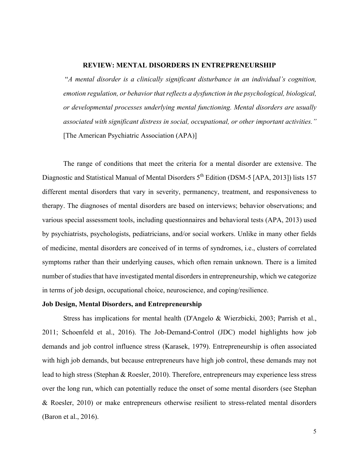#### **REVIEW: MENTAL DISORDERS IN ENTREPRENEURSHIP**

"*A mental disorder is a clinically significant disturbance in an individual's cognition, emotion regulation, or behavior that reflects a dysfunction in the psychological, biological, or developmental processes underlying mental functioning. Mental disorders are usually associated with significant distress in social, occupational, or other important activities."* [The American Psychiatric Association (APA)]

The range of conditions that meet the criteria for a mental disorder are extensive. The Diagnostic and Statistical Manual of Mental Disorders 5<sup>th</sup> Edition (DSM-5 [APA, 2013]) lists 157 different mental disorders that vary in severity, permanency, treatment, and responsiveness to therapy. The diagnoses of mental disorders are based on interviews; behavior observations; and various special assessment tools, including questionnaires and behavioral tests (APA, 2013) used by psychiatrists, psychologists, pediatricians, and/or social workers. Unlike in many other fields of medicine, mental disorders are conceived of in terms of syndromes, i.e., clusters of correlated symptoms rather than their underlying causes, which often remain unknown. There is a limited number of studies that have investigated mental disorders in entrepreneurship, which we categorize in terms of job design, occupational choice, neuroscience, and coping/resilience.

#### **Job Design, Mental Disorders, and Entrepreneurship**

Stress has implications for mental health (D'Angelo & Wierzbicki, 2003; Parrish et al., 2011; Schoenfeld et al., 2016). The Job-Demand-Control (JDC) model highlights how job demands and job control influence stress (Karasek, 1979). Entrepreneurship is often associated with high job demands, but because entrepreneurs have high job control, these demands may not lead to high stress (Stephan & Roesler, 2010). Therefore, entrepreneurs may experience less stress over the long run, which can potentially reduce the onset of some mental disorders (see Stephan & Roesler, 2010) or make entrepreneurs otherwise resilient to stress-related mental disorders (Baron et al., 2016).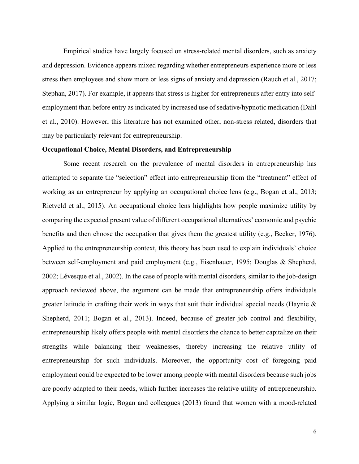Empirical studies have largely focused on stress-related mental disorders, such as anxiety and depression. Evidence appears mixed regarding whether entrepreneurs experience more or less stress then employees and show more or less signs of anxiety and depression (Rauch et al., 2017; Stephan, 2017). For example, it appears that stress is higher for entrepreneurs after entry into selfemployment than before entry as indicated by increased use of sedative/hypnotic medication (Dahl et al., 2010). However, this literature has not examined other, non-stress related, disorders that may be particularly relevant for entrepreneurship.

#### **Occupational Choice, Mental Disorders, and Entrepreneurship**

Some recent research on the prevalence of mental disorders in entrepreneurship has attempted to separate the "selection" effect into entrepreneurship from the "treatment" effect of working as an entrepreneur by applying an occupational choice lens (e.g., Bogan et al., 2013; Rietveld et al., 2015). An occupational choice lens highlights how people maximize utility by comparing the expected present value of different occupational alternatives' economic and psychic benefits and then choose the occupation that gives them the greatest utility (e.g., Becker, 1976). Applied to the entrepreneurship context, this theory has been used to explain individuals' choice between self-employment and paid employment (e.g., Eisenhauer, 1995; Douglas & Shepherd, 2002; Lévesque et al., 2002). In the case of people with mental disorders, similar to the job-design approach reviewed above, the argument can be made that entrepreneurship offers individuals greater latitude in crafting their work in ways that suit their individual special needs (Haynie  $\&$ Shepherd, 2011; Bogan et al., 2013). Indeed, because of greater job control and flexibility, entrepreneurship likely offers people with mental disorders the chance to better capitalize on their strengths while balancing their weaknesses, thereby increasing the relative utility of entrepreneurship for such individuals. Moreover, the opportunity cost of foregoing paid employment could be expected to be lower among people with mental disorders because such jobs are poorly adapted to their needs, which further increases the relative utility of entrepreneurship. Applying a similar logic, Bogan and colleagues (2013) found that women with a mood-related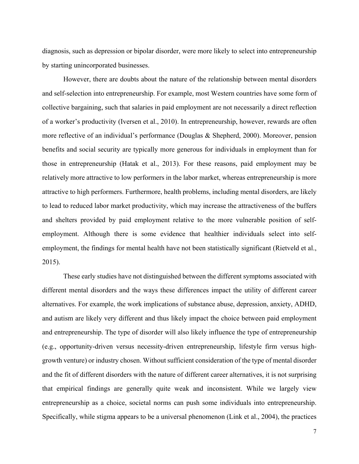diagnosis, such as depression or bipolar disorder, were more likely to select into entrepreneurship by starting unincorporated businesses.

However, there are doubts about the nature of the relationship between mental disorders and self-selection into entrepreneurship. For example, most Western countries have some form of collective bargaining, such that salaries in paid employment are not necessarily a direct reflection of a worker's productivity (Iversen et al., 2010). In entrepreneurship, however, rewards are often more reflective of an individual's performance (Douglas & Shepherd, 2000). Moreover, pension benefits and social security are typically more generous for individuals in employment than for those in entrepreneurship (Hatak et al., 2013). For these reasons, paid employment may be relatively more attractive to low performers in the labor market, whereas entrepreneurship is more attractive to high performers. Furthermore, health problems, including mental disorders, are likely to lead to reduced labor market productivity, which may increase the attractiveness of the buffers and shelters provided by paid employment relative to the more vulnerable position of selfemployment. Although there is some evidence that healthier individuals select into selfemployment, the findings for mental health have not been statistically significant (Rietveld et al., 2015).

These early studies have not distinguished between the different symptoms associated with different mental disorders and the ways these differences impact the utility of different career alternatives. For example, the work implications of substance abuse, depression, anxiety, ADHD, and autism are likely very different and thus likely impact the choice between paid employment and entrepreneurship. The type of disorder will also likely influence the type of entrepreneurship (e.g., opportunity-driven versus necessity-driven entrepreneurship, lifestyle firm versus highgrowth venture) or industry chosen. Without sufficient consideration of the type of mental disorder and the fit of different disorders with the nature of different career alternatives, it is not surprising that empirical findings are generally quite weak and inconsistent. While we largely view entrepreneurship as a choice, societal norms can push some individuals into entrepreneurship. Specifically, while stigma appears to be a universal phenomenon (Link et al., 2004), the practices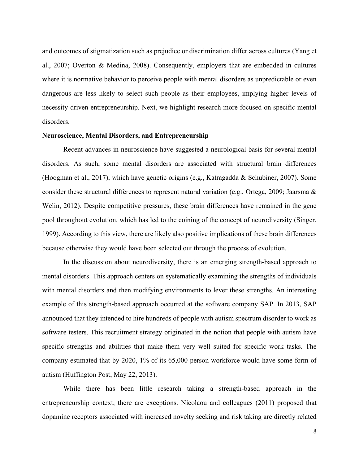and outcomes of stigmatization such as prejudice or discrimination differ across cultures (Yang et al., 2007; Overton & Medina, 2008). Consequently, employers that are embedded in cultures where it is normative behavior to perceive people with mental disorders as unpredictable or even dangerous are less likely to select such people as their employees, implying higher levels of necessity-driven entrepreneurship. Next, we highlight research more focused on specific mental disorders.

#### **Neuroscience, Mental Disorders, and Entrepreneurship**

Recent advances in neuroscience have suggested a neurological basis for several mental disorders. As such, some mental disorders are associated with structural brain differences (Hoogman et al., 2017), which have genetic origins (e.g., Katragadda & Schubiner, 2007). Some consider these structural differences to represent natural variation (e.g., Ortega, 2009; Jaarsma & Welin, 2012). Despite competitive pressures, these brain differences have remained in the gene pool throughout evolution, which has led to the coining of the concept of neurodiversity (Singer, 1999). According to this view, there are likely also positive implications of these brain differences because otherwise they would have been selected out through the process of evolution.

In the discussion about neurodiversity, there is an emerging strength-based approach to mental disorders. This approach centers on systematically examining the strengths of individuals with mental disorders and then modifying environments to lever these strengths. An interesting example of this strength-based approach occurred at the software company SAP. In 2013, SAP announced that they intended to hire hundreds of people with autism spectrum disorder to work as software testers. This recruitment strategy originated in the notion that people with autism have specific strengths and abilities that make them very well suited for specific work tasks. The company estimated that by 2020, 1% of its 65,000-person workforce would have some form of autism (Huffington Post, May 22, 2013).

While there has been little research taking a strength-based approach in the entrepreneurship context, there are exceptions. Nicolaou and colleagues (2011) proposed that dopamine receptors associated with increased novelty seeking and risk taking are directly related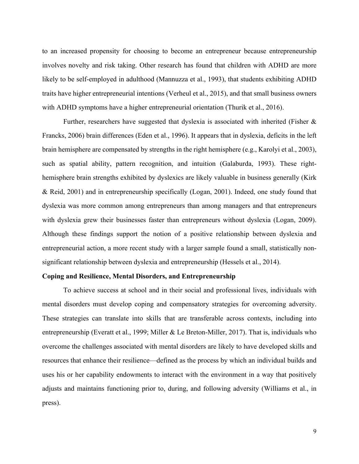to an increased propensity for choosing to become an entrepreneur because entrepreneurship involves novelty and risk taking. Other research has found that children with ADHD are more likely to be self-employed in adulthood (Mannuzza et al., 1993), that students exhibiting ADHD traits have higher entrepreneurial intentions (Verheul et al., 2015), and that small business owners with ADHD symptoms have a higher entrepreneurial orientation (Thurik et al., 2016).

Further, researchers have suggested that dyslexia is associated with inherited (Fisher & Francks, 2006) brain differences (Eden et al., 1996). It appears that in dyslexia, deficits in the left brain hemisphere are compensated by strengths in the right hemisphere (e.g., Karolyi et al., 2003), such as spatial ability, pattern recognition, and intuition (Galaburda, 1993). These righthemisphere brain strengths exhibited by dyslexics are likely valuable in business generally (Kirk & Reid, 2001) and in entrepreneurship specifically (Logan, 2001). Indeed, one study found that dyslexia was more common among entrepreneurs than among managers and that entrepreneurs with dyslexia grew their businesses faster than entrepreneurs without dyslexia (Logan, 2009). Although these findings support the notion of a positive relationship between dyslexia and entrepreneurial action, a more recent study with a larger sample found a small, statistically nonsignificant relationship between dyslexia and entrepreneurship (Hessels et al., 2014).

#### **Coping and Resilience, Mental Disorders, and Entrepreneurship**

To achieve success at school and in their social and professional lives, individuals with mental disorders must develop coping and compensatory strategies for overcoming adversity. These strategies can translate into skills that are transferable across contexts, including into entrepreneurship (Everatt et al., 1999; Miller & Le Breton-Miller, 2017). That is, individuals who overcome the challenges associated with mental disorders are likely to have developed skills and resources that enhance their resilience—defined as the process by which an individual builds and uses his or her capability endowments to interact with the environment in a way that positively adjusts and maintains functioning prior to, during, and following adversity (Williams et al., in press).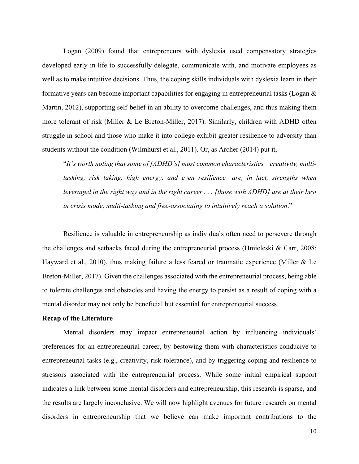Logan (2009) found that entrepreneurs with dyslexia used compensatory strategies developed early in life to successfully delegate, communicate with, and motivate employees as well as to make intuitive decisions. Thus, the coping skills individuals with dyslexia learn in their formative years can become important capabilities for engaging in entrepreneurial tasks (Logan & Martin, 2012), supporting self-belief in an ability to overcome challenges, and thus making them more tolerant of risk (Miller & Le Breton-Miller, 2017). Similarly, children with ADHD often struggle in school and those who make it into college exhibit greater resilience to adversity than students without the condition (Wilmhurst et al., 2011). Or, as Archer (2014) put it,

"*It's worth noting that some of [ADHD's] most common characteristics—creativity, multitasking, risk taking, high energy, and even resilience—are, in fact, strengths when leveraged in the right way and in the right career . . . [those with ADHD] are at their best in crisis mode, multi-tasking and free-associating to intuitively reach a solution*."

Resilience is valuable in entrepreneurship as individuals often need to persevere through the challenges and setbacks faced during the entrepreneurial process (Hmieleski & Carr, 2008; Hayward et al., 2010), thus making failure a less feared or traumatic experience (Miller & Le Breton-Miller, 2017). Given the challenges associated with the entrepreneurial process, being able to tolerate challenges and obstacles and having the energy to persist as a result of coping with a mental disorder may not only be beneficial but essential for entrepreneurial success.

#### **Recap of the Literature**

Mental disorders may impact entrepreneurial action by influencing individuals' preferences for an entrepreneurial career, by bestowing them with characteristics conducive to entrepreneurial tasks (e.g., creativity, risk tolerance), and by triggering coping and resilience to stressors associated with the entrepreneurial process. While some initial empirical support indicates a link between some mental disorders and entrepreneurship, this research is sparse, and the results are largely inconclusive. We will now highlight avenues for future research on mental disorders in entrepreneurship that we believe can make important contributions to the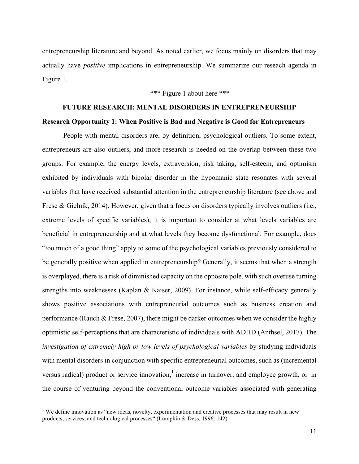entrepreneurship literature and beyond. As noted earlier, we focus mainly on disorders that may actually have *positive* implications in entrepreneurship. We summarize our reseach agenda in Figure 1.

\*\*\* Figure 1 about here \*\*\*

# **FUTURE RESEARCH: MENTAL DISORDERS IN ENTREPRENEURSHIP Research Opportunity 1: When Positive is Bad and Negative is Good for Entrepreneurs**

People with mental disorders are, by definition, psychological outliers. To some extent, entrepreneurs are also outliers, and more research is needed on the overlap between these two groups. For example, the energy levels, extraversion, risk taking, self-esteem, and optimism exhibited by individuals with bipolar disorder in the hypomanic state resonates with several variables that have received substantial attention in the entrepreneurship literature (see above and Frese & Gielnik, 2014). However, given that a focus on disorders typically involves outliers (i.e., extreme levels of specific variables), it is important to consider at what levels variables are beneficial in entrepreneurship and at what levels they become dysfunctional. For example, does "too much of a good thing" apply to some of the psychological variables previously considered to be generally positive when applied in entrepreneurship? Generally, it seems that when a strength is overplayed, there is a risk of diminished capacity on the opposite pole, with such overuse turning strengths into weaknesses (Kaplan & Kaiser, 2009). For instance, while self-efficacy generally shows positive associations with entrepreneurial outcomes such as business creation and performance (Rauch & Frese, 2007), there might be darker outcomes when we consider the highly optimistic self-perceptions that are characteristic of individuals with ADHD (Anthsel, 2017). The *investigation of extremely high or low levels of psychological variables* by studying individuals with mental disorders in conjunction with specific entrepreneurial outcomes, such as (incremental versus radical) product or service innovation, $\frac{1}{n}$  increase in turnover, and employee growth, or-in the course of venturing beyond the conventional outcome variables associated with generating

<u> 1989 - Johann Barn, mars eta bat erroman erroman erroman erroman erroman erroman erroman erroman erroman err</u>

<sup>&</sup>lt;sup>1</sup> We define innovation as "new ideas, novelty, experimentation and creative processes that may result in new products, services, and technological processes" (Lumpkin & Dess, 1996: 142).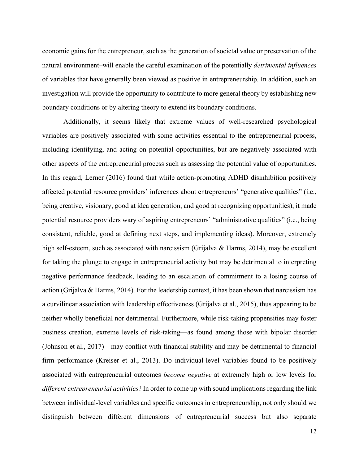economic gains for the entrepreneur, such as the generation of societal value or preservation of the natural environment–will enable the careful examination of the potentially *detrimental influences* of variables that have generally been viewed as positive in entrepreneurship. In addition, such an investigation will provide the opportunity to contribute to more general theory by establishing new boundary conditions or by altering theory to extend its boundary conditions.

Additionally, it seems likely that extreme values of well-researched psychological variables are positively associated with some activities essential to the entrepreneurial process, including identifying, and acting on potential opportunities, but are negatively associated with other aspects of the entrepreneurial process such as assessing the potential value of opportunities. In this regard, Lerner (2016) found that while action-promoting ADHD disinhibition positively affected potential resource providers' inferences about entrepreneurs' "generative qualities" (i.e., being creative, visionary, good at idea generation, and good at recognizing opportunities), it made potential resource providers wary of aspiring entrepreneurs' "administrative qualities" (i.e., being consistent, reliable, good at defining next steps, and implementing ideas). Moreover, extremely high self-esteem, such as associated with narcissism (Grijalva & Harms, 2014), may be excellent for taking the plunge to engage in entrepreneurial activity but may be detrimental to interpreting negative performance feedback, leading to an escalation of commitment to a losing course of action (Grijalva & Harms, 2014). For the leadership context, it has been shown that narcissism has a curvilinear association with leadership effectiveness (Grijalva et al., 2015), thus appearing to be neither wholly beneficial nor detrimental. Furthermore, while risk-taking propensities may foster business creation, extreme levels of risk-taking—as found among those with bipolar disorder (Johnson et al., 2017)—may conflict with financial stability and may be detrimental to financial firm performance (Kreiser et al., 2013). Do individual-level variables found to be positively associated with entrepreneurial outcomes *become negative* at extremely high or low levels for *different entrepreneurial activities*? In order to come up with sound implications regarding the link between individual-level variables and specific outcomes in entrepreneurship, not only should we distinguish between different dimensions of entrepreneurial success but also separate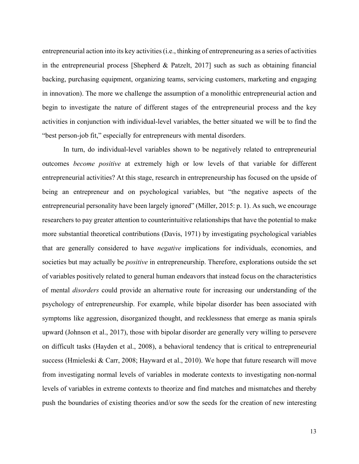entrepreneurial action into its key activities (i.e., thinking of entrepreneuring as a series of activities in the entrepreneurial process [Shepherd & Patzelt, 2017] such as such as obtaining financial backing, purchasing equipment, organizing teams, servicing customers, marketing and engaging in innovation). The more we challenge the assumption of a monolithic entrepreneurial action and begin to investigate the nature of different stages of the entrepreneurial process and the key activities in conjunction with individual-level variables, the better situated we will be to find the "best person-job fit," especially for entrepreneurs with mental disorders.

In turn, do individual-level variables shown to be negatively related to entrepreneurial outcomes *become positive* at extremely high or low levels of that variable for different entrepreneurial activities? At this stage, research in entrepreneurship has focused on the upside of being an entrepreneur and on psychological variables, but "the negative aspects of the entrepreneurial personality have been largely ignored" (Miller, 2015: p. 1). As such, we encourage researchers to pay greater attention to counterintuitive relationships that have the potential to make more substantial theoretical contributions (Davis, 1971) by investigating psychological variables that are generally considered to have *negative* implications for individuals, economies, and societies but may actually be *positive* in entrepreneurship. Therefore, explorations outside the set of variables positively related to general human endeavors that instead focus on the characteristics of mental *disorders* could provide an alternative route for increasing our understanding of the psychology of entrepreneurship. For example, while bipolar disorder has been associated with symptoms like aggression, disorganized thought, and recklessness that emerge as mania spirals upward (Johnson et al., 2017), those with bipolar disorder are generally very willing to persevere on difficult tasks (Hayden et al., 2008), a behavioral tendency that is critical to entrepreneurial success (Hmieleski & Carr, 2008; Hayward et al., 2010). We hope that future research will move from investigating normal levels of variables in moderate contexts to investigating non-normal levels of variables in extreme contexts to theorize and find matches and mismatches and thereby push the boundaries of existing theories and/or sow the seeds for the creation of new interesting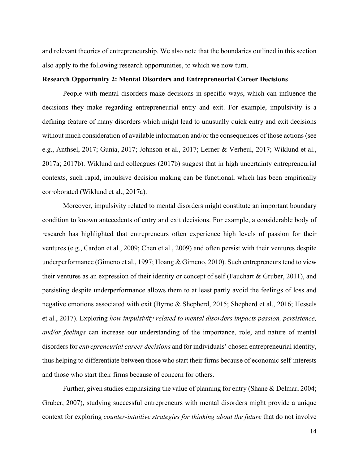and relevant theories of entrepreneurship. We also note that the boundaries outlined in this section also apply to the following research opportunities, to which we now turn.

#### **Research Opportunity 2: Mental Disorders and Entrepreneurial Career Decisions**

People with mental disorders make decisions in specific ways, which can influence the decisions they make regarding entrepreneurial entry and exit. For example, impulsivity is a defining feature of many disorders which might lead to unusually quick entry and exit decisions without much consideration of available information and/or the consequences of those actions (see e.g., Anthsel, 2017; Gunia, 2017; Johnson et al., 2017; Lerner & Verheul, 2017; Wiklund et al., 2017a; 2017b). Wiklund and colleagues (2017b) suggest that in high uncertainty entrepreneurial contexts, such rapid, impulsive decision making can be functional, which has been empirically corroborated (Wiklund et al., 2017a).

Moreover, impulsivity related to mental disorders might constitute an important boundary condition to known antecedents of entry and exit decisions. For example, a considerable body of research has highlighted that entrepreneurs often experience high levels of passion for their ventures (e.g., Cardon et al., 2009; Chen et al., 2009) and often persist with their ventures despite underperformance (Gimeno et al., 1997; Hoang & Gimeno, 2010). Such entrepreneurs tend to view their ventures as an expression of their identity or concept of self (Fauchart & Gruber, 2011), and persisting despite underperformance allows them to at least partly avoid the feelings of loss and negative emotions associated with exit (Byrne & Shepherd, 2015; Shepherd et al., 2016; Hessels et al., 2017). Exploring *how impulsivity related to mental disorders impacts passion, persistence, and/or feelings* can increase our understanding of the importance, role, and nature of mental disorders for *entrepreneurial career decisions* and for individuals' chosen entrepreneurial identity, thus helping to differentiate between those who start their firms because of economic self-interests and those who start their firms because of concern for others.

Further, given studies emphasizing the value of planning for entry (Shane & Delmar, 2004; Gruber, 2007), studying successful entrepreneurs with mental disorders might provide a unique context for exploring *counter-intuitive strategies for thinking about the future* that do not involve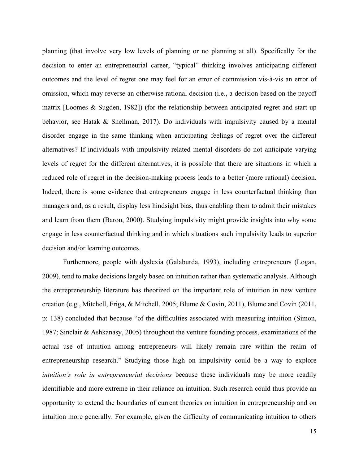planning (that involve very low levels of planning or no planning at all). Specifically for the decision to enter an entrepreneurial career, "typical" thinking involves anticipating different outcomes and the level of regret one may feel for an error of commission vis-à-vis an error of omission, which may reverse an otherwise rational decision (i.e., a decision based on the payoff matrix [Loomes & Sugden, 1982]) (for the relationship between anticipated regret and start-up behavior, see Hatak & Snellman, 2017). Do individuals with impulsivity caused by a mental disorder engage in the same thinking when anticipating feelings of regret over the different alternatives? If individuals with impulsivity-related mental disorders do not anticipate varying levels of regret for the different alternatives, it is possible that there are situations in which a reduced role of regret in the decision-making process leads to a better (more rational) decision. Indeed, there is some evidence that entrepreneurs engage in less counterfactual thinking than managers and, as a result, display less hindsight bias, thus enabling them to admit their mistakes and learn from them (Baron, 2000). Studying impulsivity might provide insights into why some engage in less counterfactual thinking and in which situations such impulsivity leads to superior decision and/or learning outcomes.

Furthermore, people with dyslexia (Galaburda, 1993), including entrepreneurs (Logan, 2009), tend to make decisions largely based on intuition rather than systematic analysis. Although the entrepreneurship literature has theorized on the important role of intuition in new venture creation (e.g., Mitchell, Friga, & Mitchell, 2005; Blume & Covin, 2011), Blume and Covin (2011, p: 138) concluded that because "of the difficulties associated with measuring intuition (Simon, 1987; Sinclair & Ashkanasy, 2005) throughout the venture founding process, examinations of the actual use of intuition among entrepreneurs will likely remain rare within the realm of entrepreneurship research." Studying those high on impulsivity could be a way to explore *intuition's role in entrepreneurial decisions* because these individuals may be more readily identifiable and more extreme in their reliance on intuition. Such research could thus provide an opportunity to extend the boundaries of current theories on intuition in entrepreneurship and on intuition more generally. For example, given the difficulty of communicating intuition to others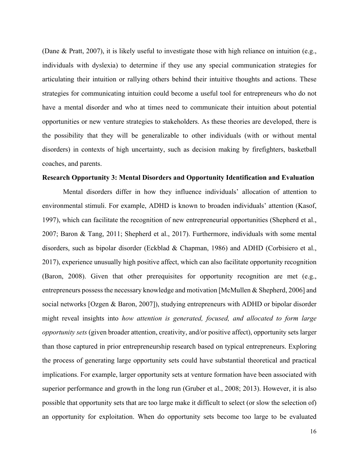(Dane & Pratt, 2007), it is likely useful to investigate those with high reliance on intuition (e.g., individuals with dyslexia) to determine if they use any special communication strategies for articulating their intuition or rallying others behind their intuitive thoughts and actions. These strategies for communicating intuition could become a useful tool for entrepreneurs who do not have a mental disorder and who at times need to communicate their intuition about potential opportunities or new venture strategies to stakeholders. As these theories are developed, there is the possibility that they will be generalizable to other individuals (with or without mental disorders) in contexts of high uncertainty, such as decision making by firefighters, basketball coaches, and parents.

#### **Research Opportunity 3: Mental Disorders and Opportunity Identification and Evaluation**

Mental disorders differ in how they influence individuals' allocation of attention to environmental stimuli. For example, ADHD is known to broaden individuals' attention (Kasof, 1997), which can facilitate the recognition of new entrepreneurial opportunities (Shepherd et al., 2007; Baron & Tang, 2011; Shepherd et al., 2017). Furthermore, individuals with some mental disorders, such as bipolar disorder (Eckblad & Chapman, 1986) and ADHD (Corbisiero et al., 2017), experience unusually high positive affect, which can also facilitate opportunity recognition (Baron, 2008). Given that other prerequisites for opportunity recognition are met (e.g., entrepreneurs possess the necessary knowledge and motivation [McMullen & Shepherd, 2006] and social networks [Ozgen & Baron, 2007]), studying entrepreneurs with ADHD or bipolar disorder might reveal insights into *how attention is generated, focused, and allocated to form large opportunity sets* (given broader attention, creativity, and/or positive affect), opportunity sets larger than those captured in prior entrepreneurship research based on typical entrepreneurs. Exploring the process of generating large opportunity sets could have substantial theoretical and practical implications. For example, larger opportunity sets at venture formation have been associated with superior performance and growth in the long run (Gruber et al., 2008; 2013). However, it is also possible that opportunity sets that are too large make it difficult to select (or slow the selection of) an opportunity for exploitation. When do opportunity sets become too large to be evaluated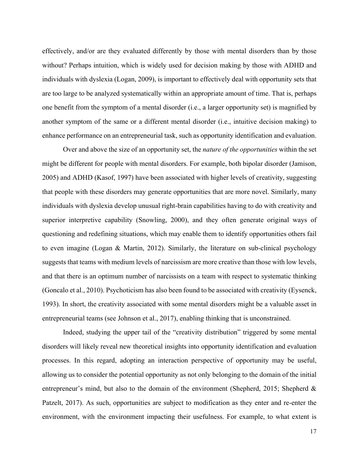effectively, and/or are they evaluated differently by those with mental disorders than by those without? Perhaps intuition, which is widely used for decision making by those with ADHD and individuals with dyslexia (Logan, 2009), is important to effectively deal with opportunity sets that are too large to be analyzed systematically within an appropriate amount of time. That is, perhaps one benefit from the symptom of a mental disorder (i.e., a larger opportunity set) is magnified by another symptom of the same or a different mental disorder (i.e., intuitive decision making) to enhance performance on an entrepreneurial task, such as opportunity identification and evaluation.

Over and above the size of an opportunity set, the *nature of the opportunities* within the set might be different for people with mental disorders. For example, both bipolar disorder (Jamison, 2005) and ADHD (Kasof, 1997) have been associated with higher levels of creativity, suggesting that people with these disorders may generate opportunities that are more novel. Similarly, many individuals with dyslexia develop unusual right-brain capabilities having to do with creativity and superior interpretive capability (Snowling, 2000), and they often generate original ways of questioning and redefining situations, which may enable them to identify opportunities others fail to even imagine (Logan & Martin, 2012). Similarly, the literature on sub-clinical psychology suggests that teams with medium levels of narcissism are more creative than those with low levels, and that there is an optimum number of narcissists on a team with respect to systematic thinking (Goncalo et al., 2010). Psychoticism has also been found to be associated with creativity (Eysenck, 1993). In short, the creativity associated with some mental disorders might be a valuable asset in entrepreneurial teams (see Johnson et al., 2017), enabling thinking that is unconstrained.

Indeed, studying the upper tail of the "creativity distribution" triggered by some mental disorders will likely reveal new theoretical insights into opportunity identification and evaluation processes. In this regard, adopting an interaction perspective of opportunity may be useful, allowing us to consider the potential opportunity as not only belonging to the domain of the initial entrepreneur's mind, but also to the domain of the environment (Shepherd, 2015; Shepherd & Patzelt, 2017). As such, opportunities are subject to modification as they enter and re-enter the environment, with the environment impacting their usefulness. For example, to what extent is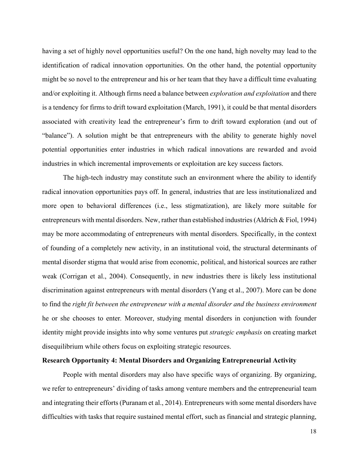having a set of highly novel opportunities useful? On the one hand, high novelty may lead to the identification of radical innovation opportunities. On the other hand, the potential opportunity might be so novel to the entrepreneur and his or her team that they have a difficult time evaluating and/or exploiting it. Although firms need a balance between *exploration and exploitation* and there is a tendency for firms to drift toward exploitation (March, 1991), it could be that mental disorders associated with creativity lead the entrepreneur's firm to drift toward exploration (and out of "balance"). A solution might be that entrepreneurs with the ability to generate highly novel potential opportunities enter industries in which radical innovations are rewarded and avoid industries in which incremental improvements or exploitation are key success factors.

The high-tech industry may constitute such an environment where the ability to identify radical innovation opportunities pays off. In general, industries that are less institutionalized and more open to behavioral differences (i.e., less stigmatization), are likely more suitable for entrepreneurs with mental disorders. New, rather than established industries (Aldrich & Fiol, 1994) may be more accommodating of entrepreneurs with mental disorders. Specifically, in the context of founding of a completely new activity, in an institutional void, the structural determinants of mental disorder stigma that would arise from economic, political, and historical sources are rather weak (Corrigan et al., 2004). Consequently, in new industries there is likely less institutional discrimination against entrepreneurs with mental disorders (Yang et al., 2007). More can be done to find the *right fit between the entrepreneur with a mental disorder and the business environment*  he or she chooses to enter*.* Moreover, studying mental disorders in conjunction with founder identity might provide insights into why some ventures put *strategic emphasis* on creating market disequilibrium while others focus on exploiting strategic resources.

#### **Research Opportunity 4: Mental Disorders and Organizing Entrepreneurial Activity**

People with mental disorders may also have specific ways of organizing. By organizing, we refer to entrepreneurs' dividing of tasks among venture members and the entrepreneurial team and integrating their efforts (Puranam et al., 2014). Entrepreneurs with some mental disorders have difficulties with tasks that require sustained mental effort, such as financial and strategic planning,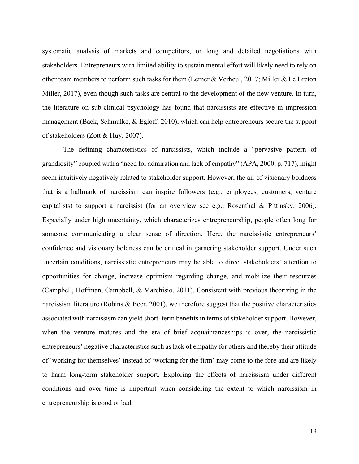systematic analysis of markets and competitors, or long and detailed negotiations with stakeholders. Entrepreneurs with limited ability to sustain mental effort will likely need to rely on other team members to perform such tasks for them (Lerner & Verheul, 2017; Miller & Le Breton Miller, 2017), even though such tasks are central to the development of the new venture. In turn, the literature on sub-clinical psychology has found that narcissists are effective in impression management (Back, Schmulke, & Egloff, 2010), which can help entrepreneurs secure the support of stakeholders (Zott & Huy, 2007).

The defining characteristics of narcissists, which include a "pervasive pattern of grandiosity" coupled with a "need for admiration and lack of empathy" (APA, 2000, p. 717), might seem intuitively negatively related to stakeholder support. However, the air of visionary boldness that is a hallmark of narcissism can inspire followers (e.g., employees, customers, venture capitalists) to support a narcissist (for an overview see e.g., Rosenthal & Pittinsky, 2006). Especially under high uncertainty, which characterizes entrepreneurship, people often long for someone communicating a clear sense of direction. Here, the narcissistic entrepreneurs' confidence and visionary boldness can be critical in garnering stakeholder support. Under such uncertain conditions, narcissistic entrepreneurs may be able to direct stakeholders' attention to opportunities for change, increase optimism regarding change, and mobilize their resources (Campbell, Hoffman, Campbell, & Marchisio, 2011). Consistent with previous theorizing in the narcissism literature (Robins & Beer, 2001), we therefore suggest that the positive characteristics associated with narcissism can yield short–term benefits in terms of stakeholder support. However, when the venture matures and the era of brief acquaintanceships is over, the narcissistic entrepreneurs' negative characteristics such as lack of empathy for others and thereby their attitude of 'working for themselves' instead of 'working for the firm' may come to the fore and are likely to harm long-term stakeholder support. Exploring the effects of narcissism under different conditions and over time is important when considering the extent to which narcissism in entrepreneurship is good or bad.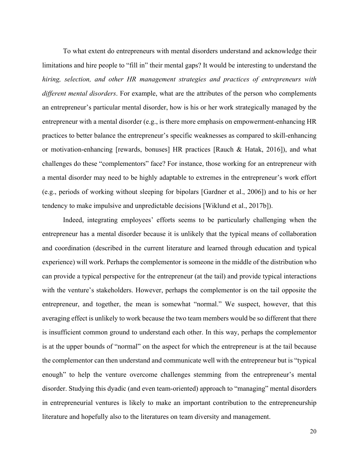To what extent do entrepreneurs with mental disorders understand and acknowledge their limitations and hire people to "fill in" their mental gaps? It would be interesting to understand the *hiring, selection, and other HR management strategies and practices of entrepreneurs with different mental disorders*. For example, what are the attributes of the person who complements an entrepreneur's particular mental disorder, how is his or her work strategically managed by the entrepreneur with a mental disorder (e.g., is there more emphasis on empowerment-enhancing HR practices to better balance the entrepreneur's specific weaknesses as compared to skill-enhancing or motivation-enhancing [rewards, bonuses] HR practices [Rauch & Hatak, 2016]), and what challenges do these "complementors" face? For instance, those working for an entrepreneur with a mental disorder may need to be highly adaptable to extremes in the entrepreneur's work effort (e.g., periods of working without sleeping for bipolars [Gardner et al., 2006]) and to his or her tendency to make impulsive and unpredictable decisions [Wiklund et al., 2017b]).

Indeed, integrating employees' efforts seems to be particularly challenging when the entrepreneur has a mental disorder because it is unlikely that the typical means of collaboration and coordination (described in the current literature and learned through education and typical experience) will work. Perhaps the complementor is someone in the middle of the distribution who can provide a typical perspective for the entrepreneur (at the tail) and provide typical interactions with the venture's stakeholders. However, perhaps the complementor is on the tail opposite the entrepreneur, and together, the mean is somewhat "normal." We suspect, however, that this averaging effect is unlikely to work because the two team members would be so different that there is insufficient common ground to understand each other. In this way, perhaps the complementor is at the upper bounds of "normal" on the aspect for which the entrepreneur is at the tail because the complementor can then understand and communicate well with the entrepreneur but is "typical enough" to help the venture overcome challenges stemming from the entrepreneur's mental disorder. Studying this dyadic (and even team-oriented) approach to "managing" mental disorders in entrepreneurial ventures is likely to make an important contribution to the entrepreneurship literature and hopefully also to the literatures on team diversity and management.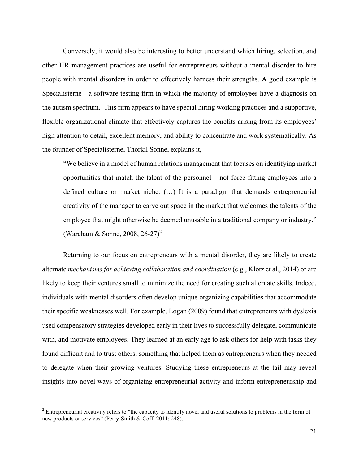Conversely, it would also be interesting to better understand which hiring, selection, and other HR management practices are useful for entrepreneurs without a mental disorder to hire people with mental disorders in order to effectively harness their strengths. A good example is Specialisterne—a software testing firm in which the majority of employees have a diagnosis on the autism spectrum. This firm appears to have special hiring working practices and a supportive, flexible organizational climate that effectively captures the benefits arising from its employees' high attention to detail, excellent memory, and ability to concentrate and work systematically. As the founder of Specialisterne, Thorkil Sonne, explains it,

"We believe in a model of human relations management that focuses on identifying market opportunities that match the talent of the personnel – not force-fitting employees into a defined culture or market niche. (…) It is a paradigm that demands entrepreneurial creativity of the manager to carve out space in the market that welcomes the talents of the employee that might otherwise be deemed unusable in a traditional company or industry." (Wareham & Sonne, 2008, 26-27)<sup>2</sup>

Returning to our focus on entrepreneurs with a mental disorder, they are likely to create alternate *mechanisms for achieving collaboration and coordination* (e.g., Klotz et al., 2014) or are likely to keep their ventures small to minimize the need for creating such alternate skills. Indeed, individuals with mental disorders often develop unique organizing capabilities that accommodate their specific weaknesses well. For example, Logan (2009) found that entrepreneurs with dyslexia used compensatory strategies developed early in their lives to successfully delegate, communicate with, and motivate employees. They learned at an early age to ask others for help with tasks they found difficult and to trust others, something that helped them as entrepreneurs when they needed to delegate when their growing ventures. Studying these entrepreneurs at the tail may reveal insights into novel ways of organizing entrepreneurial activity and inform entrepreneurship and

<u> 1989 - Johann Barn, mars eta bat erroman erroman erroman erroman erroman erroman erroman erroman erroman err</u>

 $2$  Entrepreneurial creativity refers to "the capacity to identify novel and useful solutions to problems in the form of new products or services" (Perry-Smith & Coff, 2011: 248).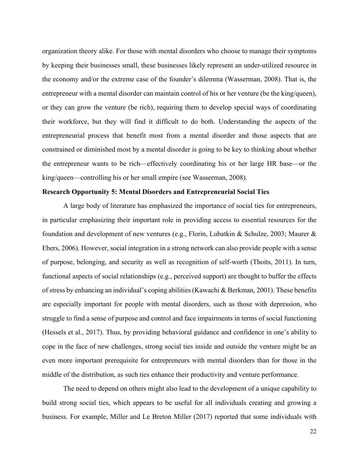organization theory alike. For those with mental disorders who choose to manage their symptoms by keeping their businesses small, these businesses likely represent an under-utilized resource in the economy and/or the extreme case of the founder's dilemma (Wasserman, 2008). That is, the entrepreneur with a mental disorder can maintain control of his or her venture (be the king/queen), or they can grow the venture (be rich), requiring them to develop special ways of coordinating their workforce, but they will find it difficult to do both. Understanding the aspects of the entrepreneurial process that benefit most from a mental disorder and those aspects that are constrained or diminished most by a mental disorder is going to be key to thinking about whether the entrepreneur wants to be rich—effectively coordinating his or her large HR base—or the king/queen—controlling his or her small empire (see Wasserman, 2008).

#### **Research Opportunity 5: Mental Disorders and Entrepreneurial Social Ties**

A large body of literature has emphasized the importance of social ties for entrepreneurs, in particular emphasizing their important role in providing access to essential resources for the foundation and development of new ventures (e.g., Florin, Lubatkin & Schulze, 2003; Maurer & Ebers, 2006). However, social integration in a strong network can also provide people with a sense of purpose, belonging, and security as well as recognition of self-worth (Thoits, 2011). In turn, functional aspects of social relationships (e.g., perceived support) are thought to buffer the effects of stress by enhancing an individual's coping abilities (Kawachi & Berkman, 2001). These benefits are especially important for people with mental disorders, such as those with depression, who struggle to find a sense of purpose and control and face impairments in terms of social functioning (Hessels et al., 2017). Thus, by providing behavioral guidance and confidence in one's ability to cope in the face of new challenges, strong social ties inside and outside the venture might be an even more important prerequisite for entrepreneurs with mental disorders than for those in the middle of the distribution, as such ties enhance their productivity and venture performance.

The need to depend on others might also lead to the development of a unique capability to build strong social ties, which appears to be useful for all individuals creating and growing a business. For example, Miller and Le Breton Miller (2017) reported that some individuals with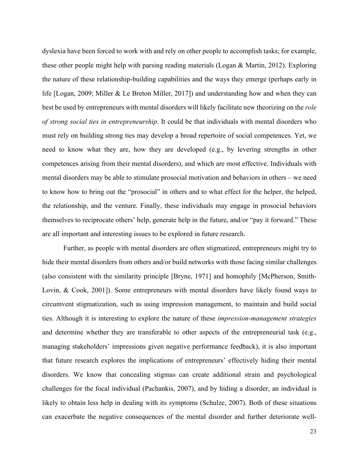dyslexia have been forced to work with and rely on other people to accomplish tasks; for example, these other people might help with parsing reading materials (Logan & Martin, 2012). Exploring the nature of these relationship-building capabilities and the ways they emerge (perhaps early in life [Logan, 2009; Miller & Le Breton Miller, 2017]) and understanding how and when they can best be used by entrepreneurs with mental disorders will likely facilitate new theorizing on the *role of strong social ties in entrepreneurship*. It could be that individuals with mental disorders who must rely on building strong ties may develop a broad repertoire of social competences. Yet, we need to know what they are, how they are developed (e.g., by levering strengths in other competences arising from their mental disorders), and which are most effective. Individuals with mental disorders may be able to stimulate prosocial motivation and behaviors in others – we need to know how to bring out the "prosocial" in others and to what effect for the helper, the helped, the relationship, and the venture. Finally, these individuals may engage in prosocial behaviors themselves to reciprocate others' help, generate help in the future, and/or "pay it forward." These are all important and interesting issues to be explored in future research.

Further, as people with mental disorders are often stigmatized, entrepreneurs might try to hide their mental disorders from others and/or build networks with those facing similar challenges (also consistent with the similarity principle [Bryne, 1971] and homophily [McPherson, Smith-Lovin, & Cook, 2001]). Some entrepreneurs with mental disorders have likely found ways to circumvent stigmatization, such as using impression management, to maintain and build social ties. Although it is interesting to explore the nature of these *impression-management strategies* and determine whether they are transferable to other aspects of the entrepreneurial task (e.g., managing stakeholders' impressions given negative performance feedback), it is also important that future research explores the implications of entrepreneurs' effectively hiding their mental disorders. We know that concealing stigmas can create additional strain and psychological challenges for the focal individual (Pachankis, 2007), and by hiding a disorder, an individual is likely to obtain less help in dealing with its symptoms (Schulze, 2007). Both of these situations can exacerbate the negative consequences of the mental disorder and further deteriorate well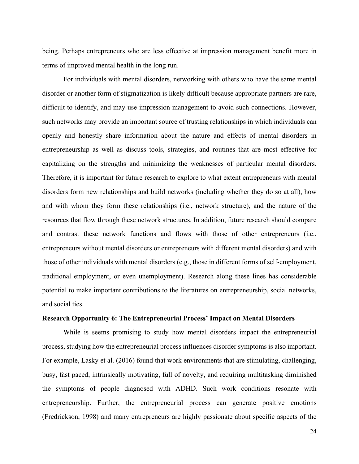being. Perhaps entrepreneurs who are less effective at impression management benefit more in terms of improved mental health in the long run.

For individuals with mental disorders, networking with others who have the same mental disorder or another form of stigmatization is likely difficult because appropriate partners are rare, difficult to identify, and may use impression management to avoid such connections. However, such networks may provide an important source of trusting relationships in which individuals can openly and honestly share information about the nature and effects of mental disorders in entrepreneurship as well as discuss tools, strategies, and routines that are most effective for capitalizing on the strengths and minimizing the weaknesses of particular mental disorders. Therefore, it is important for future research to explore to what extent entrepreneurs with mental disorders form new relationships and build networks (including whether they do so at all), how and with whom they form these relationships (i.e., network structure), and the nature of the resources that flow through these network structures. In addition, future research should compare and contrast these network functions and flows with those of other entrepreneurs (i.e., entrepreneurs without mental disorders or entrepreneurs with different mental disorders) and with those of other individuals with mental disorders (e.g., those in different forms of self-employment, traditional employment, or even unemployment). Research along these lines has considerable potential to make important contributions to the literatures on entrepreneurship, social networks, and social ties.

#### **Research Opportunity 6: The Entrepreneurial Process' Impact on Mental Disorders**

While is seems promising to study how mental disorders impact the entrepreneurial process, studying how the entrepreneurial process influences disorder symptoms is also important. For example, Lasky et al. (2016) found that work environments that are stimulating, challenging, busy, fast paced, intrinsically motivating, full of novelty, and requiring multitasking diminished the symptoms of people diagnosed with ADHD. Such work conditions resonate with entrepreneurship. Further, the entrepreneurial process can generate positive emotions (Fredrickson, 1998) and many entrepreneurs are highly passionate about specific aspects of the

24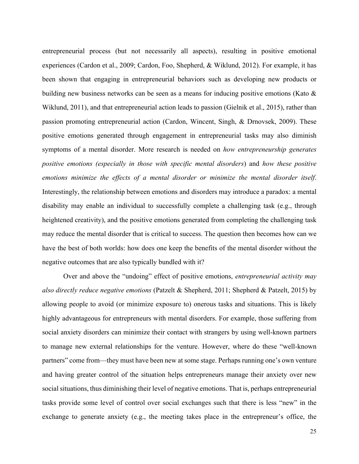entrepreneurial process (but not necessarily all aspects), resulting in positive emotional experiences (Cardon et al., 2009; Cardon, Foo, Shepherd, & Wiklund, 2012). For example, it has been shown that engaging in entrepreneurial behaviors such as developing new products or building new business networks can be seen as a means for inducing positive emotions (Kato & Wiklund, 2011), and that entrepreneurial action leads to passion (Gielnik et al., 2015), rather than passion promoting entrepreneurial action (Cardon, Wincent, Singh, & Drnovsek, 2009). These positive emotions generated through engagement in entrepreneurial tasks may also diminish symptoms of a mental disorder. More research is needed on *how entrepreneurship generates positive emotions (especially in those with specific mental disorders*) and *how these positive emotions minimize the effects of a mental disorder or minimize the mental disorder itself*. Interestingly, the relationship between emotions and disorders may introduce a paradox: a mental disability may enable an individual to successfully complete a challenging task (e.g., through heightened creativity), and the positive emotions generated from completing the challenging task may reduce the mental disorder that is critical to success. The question then becomes how can we have the best of both worlds: how does one keep the benefits of the mental disorder without the negative outcomes that are also typically bundled with it?

Over and above the "undoing" effect of positive emotions, *entrepreneurial activity may also directly reduce negative emotions* (Patzelt & Shepherd, 2011; Shepherd & Patzelt, 2015) by allowing people to avoid (or minimize exposure to) onerous tasks and situations. This is likely highly advantageous for entrepreneurs with mental disorders. For example, those suffering from social anxiety disorders can minimize their contact with strangers by using well-known partners to manage new external relationships for the venture. However, where do these "well-known partners" come from—they must have been new at some stage. Perhaps running one's own venture and having greater control of the situation helps entrepreneurs manage their anxiety over new social situations, thus diminishing their level of negative emotions. That is, perhaps entrepreneurial tasks provide some level of control over social exchanges such that there is less "new" in the exchange to generate anxiety (e.g., the meeting takes place in the entrepreneur's office, the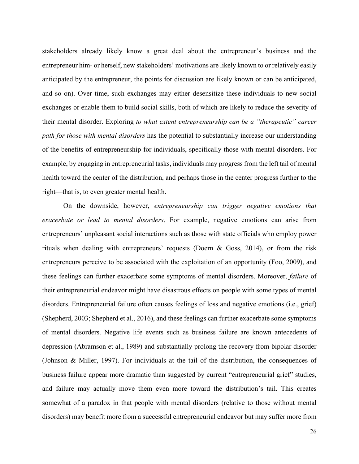stakeholders already likely know a great deal about the entrepreneur's business and the entrepreneur him- or herself, new stakeholders' motivations are likely known to or relatively easily anticipated by the entrepreneur, the points for discussion are likely known or can be anticipated, and so on). Over time, such exchanges may either desensitize these individuals to new social exchanges or enable them to build social skills, both of which are likely to reduce the severity of their mental disorder. Exploring *to what extent entrepreneurship can be a "therapeutic" career path for those with mental disorders* has the potential to substantially increase our understanding of the benefits of entrepreneurship for individuals, specifically those with mental disorders. For example, by engaging in entrepreneurial tasks, individuals may progress from the left tail of mental health toward the center of the distribution, and perhaps those in the center progress further to the right—that is, to even greater mental health.

On the downside, however, *entrepreneurship can trigger negative emotions that exacerbate or lead to mental disorders*. For example, negative emotions can arise from entrepreneurs' unpleasant social interactions such as those with state officials who employ power rituals when dealing with entrepreneurs' requests (Doern & Goss, 2014), or from the risk entrepreneurs perceive to be associated with the exploitation of an opportunity (Foo, 2009), and these feelings can further exacerbate some symptoms of mental disorders. Moreover, *failure* of their entrepreneurial endeavor might have disastrous effects on people with some types of mental disorders. Entrepreneurial failure often causes feelings of loss and negative emotions (i.e., grief) (Shepherd, 2003; Shepherd et al., 2016), and these feelings can further exacerbate some symptoms of mental disorders. Negative life events such as business failure are known antecedents of depression (Abramson et al., 1989) and substantially prolong the recovery from bipolar disorder (Johnson & Miller, 1997). For individuals at the tail of the distribution, the consequences of business failure appear more dramatic than suggested by current "entrepreneurial grief" studies, and failure may actually move them even more toward the distribution's tail. This creates somewhat of a paradox in that people with mental disorders (relative to those without mental disorders) may benefit more from a successful entrepreneurial endeavor but may suffer more from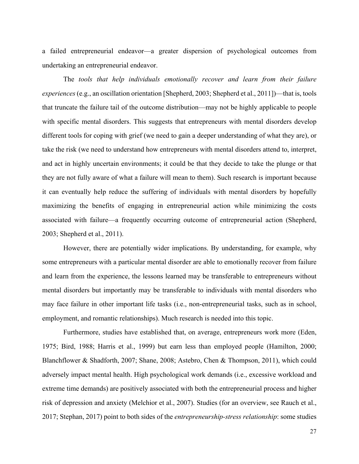a failed entrepreneurial endeavor—a greater dispersion of psychological outcomes from undertaking an entrepreneurial endeavor.

The *tools that help individuals emotionally recover and learn from their failure experiences* (e.g., an oscillation orientation [Shepherd, 2003; Shepherd et al., 2011])—that is, tools that truncate the failure tail of the outcome distribution—may not be highly applicable to people with specific mental disorders. This suggests that entrepreneurs with mental disorders develop different tools for coping with grief (we need to gain a deeper understanding of what they are), or take the risk (we need to understand how entrepreneurs with mental disorders attend to, interpret, and act in highly uncertain environments; it could be that they decide to take the plunge or that they are not fully aware of what a failure will mean to them). Such research is important because it can eventually help reduce the suffering of individuals with mental disorders by hopefully maximizing the benefits of engaging in entrepreneurial action while minimizing the costs associated with failure—a frequently occurring outcome of entrepreneurial action (Shepherd, 2003; Shepherd et al., 2011).

However, there are potentially wider implications. By understanding, for example, why some entrepreneurs with a particular mental disorder are able to emotionally recover from failure and learn from the experience, the lessons learned may be transferable to entrepreneurs without mental disorders but importantly may be transferable to individuals with mental disorders who may face failure in other important life tasks (i.e., non-entrepreneurial tasks, such as in school, employment, and romantic relationships). Much research is needed into this topic.

Furthermore, studies have established that, on average, entrepreneurs work more (Eden, 1975; Bird, 1988; Harris et al., 1999) but earn less than employed people (Hamilton, 2000; Blanchflower & Shadforth, 2007; Shane, 2008; Astebro, Chen & Thompson, 2011), which could adversely impact mental health. High psychological work demands (i.e., excessive workload and extreme time demands) are positively associated with both the entrepreneurial process and higher risk of depression and anxiety (Melchior et al., 2007). Studies (for an overview, see Rauch et al., 2017; Stephan, 2017) point to both sides of the *entrepreneurship-stress relationship*: some studies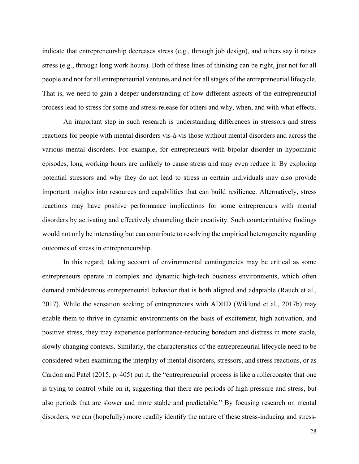indicate that entrepreneurship decreases stress (e.g., through job design), and others say it raises stress (e.g., through long work hours). Both of these lines of thinking can be right, just not for all people and not for all entrepreneurial ventures and not for all stages of the entrepreneurial lifecycle. That is, we need to gain a deeper understanding of how different aspects of the entrepreneurial process lead to stress for some and stress release for others and why, when, and with what effects.

An important step in such research is understanding differences in stressors and stress reactions for people with mental disorders vis-à-vis those without mental disorders and across the various mental disorders. For example, for entrepreneurs with bipolar disorder in hypomanic episodes, long working hours are unlikely to cause stress and may even reduce it. By exploring potential stressors and why they do not lead to stress in certain individuals may also provide important insights into resources and capabilities that can build resilience. Alternatively, stress reactions may have positive performance implications for some entrepreneurs with mental disorders by activating and effectively channeling their creativity. Such counterintuitive findings would not only be interesting but can contribute to resolving the empirical heterogeneity regarding outcomes of stress in entrepreneurship.

In this regard, taking account of environmental contingencies may be critical as some entrepreneurs operate in complex and dynamic high-tech business environments, which often demand ambidextrous entrepreneurial behavior that is both aligned and adaptable (Rauch et al., 2017). While the sensation seeking of entrepreneurs with ADHD (Wiklund et al., 2017b) may enable them to thrive in dynamic environments on the basis of excitement, high activation, and positive stress, they may experience performance-reducing boredom and distress in more stable, slowly changing contexts. Similarly, the characteristics of the entrepreneurial lifecycle need to be considered when examining the interplay of mental disorders, stressors, and stress reactions, or as Cardon and Patel (2015, p. 405) put it, the "entrepreneurial process is like a rollercoaster that one is trying to control while on it, suggesting that there are periods of high pressure and stress, but also periods that are slower and more stable and predictable." By focusing research on mental disorders, we can (hopefully) more readily identify the nature of these stress-inducing and stress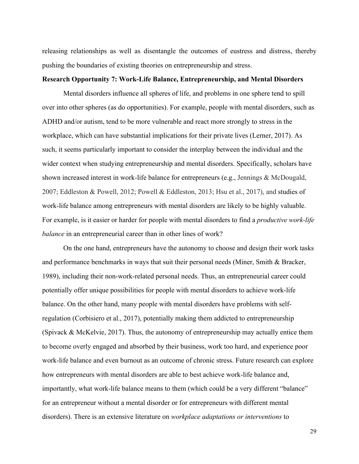releasing relationships as well as disentangle the outcomes of eustress and distress, thereby pushing the boundaries of existing theories on entrepreneurship and stress.

#### **Research Opportunity 7: Work-Life Balance, Entrepreneurship, and Mental Disorders**

Mental disorders influence all spheres of life, and problems in one sphere tend to spill over into other spheres (as do opportunities). For example, people with mental disorders, such as ADHD and/or autism, tend to be more vulnerable and react more strongly to stress in the workplace, which can have substantial implications for their private lives (Lerner, 2017). As such, it seems particularly important to consider the interplay between the individual and the wider context when studying entrepreneurship and mental disorders. Specifically, scholars have shown increased interest in work-life balance for entrepreneurs (e.g., Jennings & McDougald, 2007; Eddleston & Powell, 2012; Powell & Eddleston, 2013; Hsu et al., 2017), and studies of work-life balance among entrepreneurs with mental disorders are likely to be highly valuable. For example, is it easier or harder for people with mental disorders to find a *productive work-life balance* in an entrepreneurial career than in other lines of work?

On the one hand, entrepreneurs have the autonomy to choose and design their work tasks and performance benchmarks in ways that suit their personal needs (Miner, Smith & Bracker, 1989), including their non-work-related personal needs. Thus, an entrepreneurial career could potentially offer unique possibilities for people with mental disorders to achieve work-life balance. On the other hand, many people with mental disorders have problems with selfregulation (Corbisiero et al., 2017), potentially making them addicted to entrepreneurship (Spivack & McKelvie, 2017). Thus, the autonomy of entrepreneurship may actually entice them to become overly engaged and absorbed by their business, work too hard, and experience poor work-life balance and even burnout as an outcome of chronic stress. Future research can explore how entrepreneurs with mental disorders are able to best achieve work-life balance and, importantly, what work-life balance means to them (which could be a very different "balance" for an entrepreneur without a mental disorder or for entrepreneurs with different mental disorders). There is an extensive literature on *workplace adaptations or interventions* to

29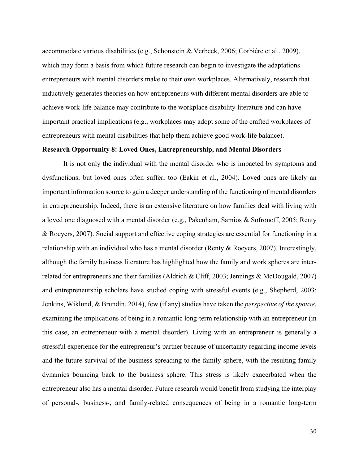accommodate various disabilities (e.g., Schonstein & Verbeek, 2006; Corbiére et al., 2009), which may form a basis from which future research can begin to investigate the adaptations entrepreneurs with mental disorders make to their own workplaces. Alternatively, research that inductively generates theories on how entrepreneurs with different mental disorders are able to achieve work-life balance may contribute to the workplace disability literature and can have important practical implications (e.g., workplaces may adopt some of the crafted workplaces of entrepreneurs with mental disabilities that help them achieve good work-life balance).

#### **Research Opportunity 8: Loved Ones, Entrepreneurship, and Mental Disorders**

It is not only the individual with the mental disorder who is impacted by symptoms and dysfunctions, but loved ones often suffer, too (Eakin et al., 2004). Loved ones are likely an important information source to gain a deeper understanding of the functioning of mental disorders in entrepreneurship. Indeed, there is an extensive literature on how families deal with living with a loved one diagnosed with a mental disorder (e.g., Pakenham, Samios & Sofronoff, 2005; Renty & Roeyers, 2007). Social support and effective coping strategies are essential for functioning in a relationship with an individual who has a mental disorder (Renty & Roeyers, 2007). Interestingly, although the family business literature has highlighted how the family and work spheres are interrelated for entrepreneurs and their families (Aldrich & Cliff, 2003; Jennings & McDougald, 2007) and entrepreneurship scholars have studied coping with stressful events (e.g., Shepherd, 2003; Jenkins, Wiklund, & Brundin, 2014), few (if any) studies have taken the *perspective of the spouse*, examining the implications of being in a romantic long-term relationship with an entrepreneur (in this case, an entrepreneur with a mental disorder). Living with an entrepreneur is generally a stressful experience for the entrepreneur's partner because of uncertainty regarding income levels and the future survival of the business spreading to the family sphere, with the resulting family dynamics bouncing back to the business sphere. This stress is likely exacerbated when the entrepreneur also has a mental disorder. Future research would benefit from studying the interplay of personal-, business-, and family-related consequences of being in a romantic long-term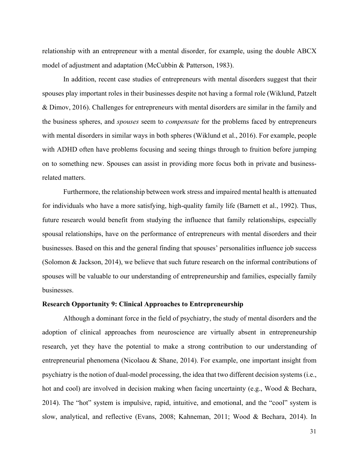relationship with an entrepreneur with a mental disorder, for example, using the double ABCX model of adjustment and adaptation (McCubbin & Patterson, 1983).

In addition, recent case studies of entrepreneurs with mental disorders suggest that their spouses play important roles in their businesses despite not having a formal role (Wiklund, Patzelt & Dimov, 2016). Challenges for entrepreneurs with mental disorders are similar in the family and the business spheres, and *spouses* seem to *compensate* for the problems faced by entrepreneurs with mental disorders in similar ways in both spheres (Wiklund et al., 2016). For example, people with ADHD often have problems focusing and seeing things through to fruition before jumping on to something new. Spouses can assist in providing more focus both in private and businessrelated matters.

Furthermore, the relationship between work stress and impaired mental health is attenuated for individuals who have a more satisfying, high-quality family life (Barnett et al., 1992). Thus, future research would benefit from studying the influence that family relationships, especially spousal relationships, have on the performance of entrepreneurs with mental disorders and their businesses. Based on this and the general finding that spouses' personalities influence job success (Solomon & Jackson, 2014), we believe that such future research on the informal contributions of spouses will be valuable to our understanding of entrepreneurship and families, especially family businesses.

#### **Research Opportunity 9: Clinical Approaches to Entrepreneurship**

Although a dominant force in the field of psychiatry, the study of mental disorders and the adoption of clinical approaches from neuroscience are virtually absent in entrepreneurship research, yet they have the potential to make a strong contribution to our understanding of entrepreneurial phenomena (Nicolaou & Shane, 2014). For example, one important insight from psychiatry is the notion of dual-model processing, the idea that two different decision systems (i.e., hot and cool) are involved in decision making when facing uncertainty (e.g., Wood & Bechara, 2014). The "hot" system is impulsive, rapid, intuitive, and emotional, and the "cool" system is slow, analytical, and reflective (Evans, 2008; Kahneman, 2011; Wood & Bechara, 2014). In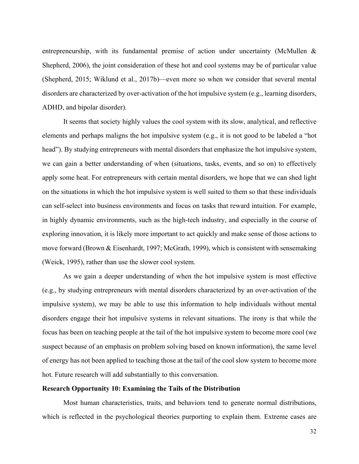entrepreneurship, with its fundamental premise of action under uncertainty (McMullen & Shepherd, 2006), the joint consideration of these hot and cool systems may be of particular value (Shepherd, 2015; Wiklund et al., 2017b)—even more so when we consider that several mental disorders are characterized by over-activation of the hot impulsive system (e.g., learning disorders, ADHD, and bipolar disorder).

It seems that society highly values the cool system with its slow, analytical, and reflective elements and perhaps maligns the hot impulsive system (e.g., it is not good to be labeled a "hot head"). By studying entrepreneurs with mental disorders that emphasize the hot impulsive system, we can gain a better understanding of when (situations, tasks, events, and so on) to effectively apply some heat. For entrepreneurs with certain mental disorders, we hope that we can shed light on the situations in which the hot impulsive system is well suited to them so that these individuals can self-select into business environments and focus on tasks that reward intuition. For example, in highly dynamic environments, such as the high-tech industry, and especially in the course of exploring innovation, it is likely more important to act quickly and make sense of those actions to move forward (Brown & Eisenhardt, 1997; McGrath, 1999), which is consistent with sensemaking (Weick, 1995), rather than use the slower cool system.

As we gain a deeper understanding of when the hot impulsive system is most effective (e.g., by studying entrepreneurs with mental disorders characterized by an over-activation of the impulsive system), we may be able to use this information to help individuals without mental disorders engage their hot impulsive systems in relevant situations. The irony is that while the focus has been on teaching people at the tail of the hot impulsive system to become more cool (we suspect because of an emphasis on problem solving based on known information), the same level of energy has not been applied to teaching those at the tail of the cool slow system to become more hot. Future research will add substantially to this conversation.

#### **Research Opportunity 10: Examining the Tails of the Distribution**

Most human characteristics, traits, and behaviors tend to generate normal distributions, which is reflected in the psychological theories purporting to explain them. Extreme cases are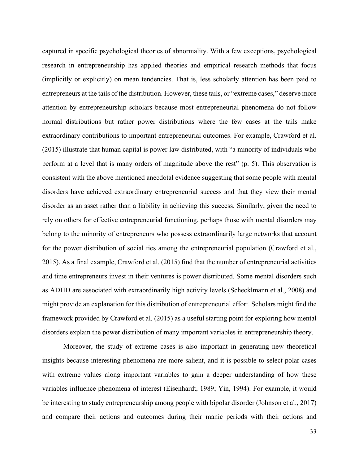captured in specific psychological theories of abnormality. With a few exceptions, psychological research in entrepreneurship has applied theories and empirical research methods that focus (implicitly or explicitly) on mean tendencies. That is, less scholarly attention has been paid to entrepreneurs at the tails of the distribution. However, these tails, or "extreme cases," deserve more attention by entrepreneurship scholars because most entrepreneurial phenomena do not follow normal distributions but rather power distributions where the few cases at the tails make extraordinary contributions to important entrepreneurial outcomes. For example, Crawford et al. (2015) illustrate that human capital is power law distributed, with "a minority of individuals who perform at a level that is many orders of magnitude above the rest" (p. 5). This observation is consistent with the above mentioned anecdotal evidence suggesting that some people with mental disorders have achieved extraordinary entrepreneurial success and that they view their mental disorder as an asset rather than a liability in achieving this success. Similarly, given the need to rely on others for effective entrepreneurial functioning, perhaps those with mental disorders may belong to the minority of entrepreneurs who possess extraordinarily large networks that account for the power distribution of social ties among the entrepreneurial population (Crawford et al., 2015). As a final example, Crawford et al. (2015) find that the number of entrepreneurial activities and time entrepreneurs invest in their ventures is power distributed. Some mental disorders such as ADHD are associated with extraordinarily high activity levels (Schecklmann et al., 2008) and might provide an explanation for this distribution of entrepreneurial effort. Scholars might find the framework provided by Crawford et al. (2015) as a useful starting point for exploring how mental disorders explain the power distribution of many important variables in entrepreneurship theory.

Moreover, the study of extreme cases is also important in generating new theoretical insights because interesting phenomena are more salient, and it is possible to select polar cases with extreme values along important variables to gain a deeper understanding of how these variables influence phenomena of interest (Eisenhardt, 1989; Yin, 1994). For example, it would be interesting to study entrepreneurship among people with bipolar disorder (Johnson et al., 2017) and compare their actions and outcomes during their manic periods with their actions and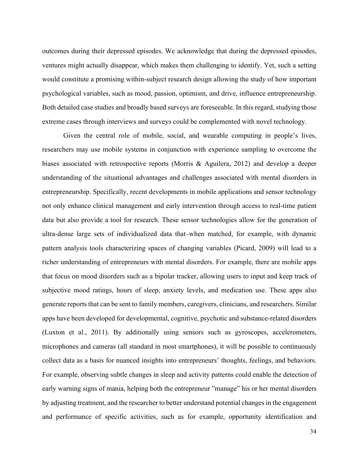outcomes during their depressed episodes. We acknowledge that during the depressed episodes, ventures might actually disappear, which makes them challenging to identify. Yet, such a setting would constitute a promising within-subject research design allowing the study of how important psychological variables, such as mood, passion, optimism, and drive, influence entrepreneurship. Both detailed case studies and broadly based surveys are foreseeable. In this regard, studying those extreme cases through interviews and surveys could be complemented with novel technology.

Given the central role of mobile, social, and wearable computing in people's lives, researchers may use mobile systems in conjunction with experience sampling to overcome the biases associated with retrospective reports (Morris & Aguilera, 2012) and develop a deeper understanding of the situational advantages and challenges associated with mental disorders in entrepreneurship. Specifically, recent developments in mobile applications and sensor technology not only enhance clinical management and early intervention through access to real-time patient data but also provide a tool for research. These sensor technologies allow for the generation of ultra-dense large sets of individualized data that–when matched, for example, with dynamic pattern analysis tools characterizing spaces of changing variables (Picard, 2009) will lead to a richer understanding of entrepreneurs with mental disorders. For example, there are mobile apps that focus on mood disorders such as a bipolar tracker, allowing users to input and keep track of subjective mood ratings, hours of sleep, anxiety levels, and medication use. These apps also generate reports that can be sent to family members, caregivers, clinicians, and researchers. Similar apps have been developed for developmental, cognitive, psychotic and substance-related disorders (Luxton et al., 2011). By additionally using sensors such as gyroscopes, accelerometers, microphones and cameras (all standard in most smartphones), it will be possible to continuously collect data as a basis for nuanced insights into entrepreneurs' thoughts, feelings, and behaviors. For example, observing subtle changes in sleep and activity patterns could enable the detection of early warning signs of mania, helping both the entrepreneur "manage" his or her mental disorders by adjusting treatment, and the researcher to better understand potential changes in the engagement and performance of specific activities, such as for example, opportunity identification and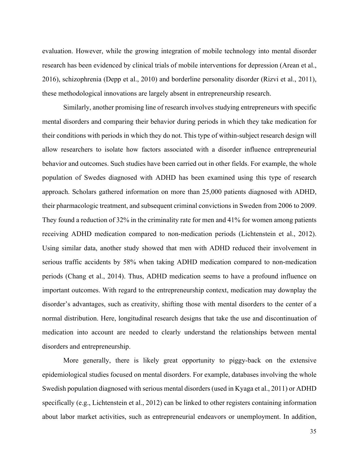evaluation. However, while the growing integration of mobile technology into mental disorder research has been evidenced by clinical trials of mobile interventions for depression (Arean et al., 2016), schizophrenia (Depp et al., 2010) and borderline personality disorder (Rizvi et al., 2011), these methodological innovations are largely absent in entrepreneurship research.

Similarly, another promising line of research involves studying entrepreneurs with specific mental disorders and comparing their behavior during periods in which they take medication for their conditions with periods in which they do not. This type of within-subject research design will allow researchers to isolate how factors associated with a disorder influence entrepreneurial behavior and outcomes. Such studies have been carried out in other fields. For example, the whole population of Swedes diagnosed with ADHD has been examined using this type of research approach. Scholars gathered information on more than 25,000 patients diagnosed with ADHD, their pharmacologic treatment, and subsequent criminal convictions in Sweden from 2006 to 2009. They found a reduction of 32% in the criminality rate for men and 41% for women among patients receiving ADHD medication compared to non-medication periods (Lichtenstein et al., 2012). Using similar data, another study showed that men with ADHD reduced their involvement in serious traffic accidents by 58% when taking ADHD medication compared to non-medication periods (Chang et al., 2014). Thus, ADHD medication seems to have a profound influence on important outcomes. With regard to the entrepreneurship context, medication may downplay the disorder's advantages, such as creativity, shifting those with mental disorders to the center of a normal distribution. Here, longitudinal research designs that take the use and discontinuation of medication into account are needed to clearly understand the relationships between mental disorders and entrepreneurship.

More generally, there is likely great opportunity to piggy-back on the extensive epidemiological studies focused on mental disorders. For example, databases involving the whole Swedish population diagnosed with serious mental disorders (used in Kyaga et al., 2011) or ADHD specifically (e.g., Lichtenstein et al., 2012) can be linked to other registers containing information about labor market activities, such as entrepreneurial endeavors or unemployment. In addition,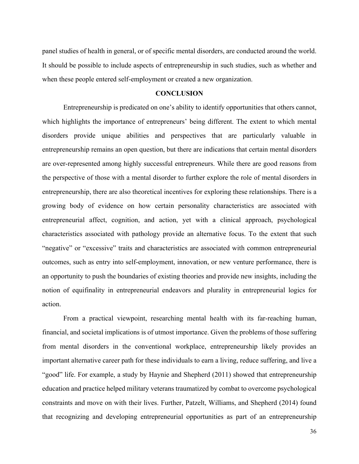panel studies of health in general, or of specific mental disorders, are conducted around the world. It should be possible to include aspects of entrepreneurship in such studies, such as whether and when these people entered self-employment or created a new organization.

## **CONCLUSION**

Entrepreneurship is predicated on one's ability to identify opportunities that others cannot, which highlights the importance of entrepreneurs' being different. The extent to which mental disorders provide unique abilities and perspectives that are particularly valuable in entrepreneurship remains an open question, but there are indications that certain mental disorders are over-represented among highly successful entrepreneurs. While there are good reasons from the perspective of those with a mental disorder to further explore the role of mental disorders in entrepreneurship, there are also theoretical incentives for exploring these relationships. There is a growing body of evidence on how certain personality characteristics are associated with entrepreneurial affect, cognition, and action, yet with a clinical approach, psychological characteristics associated with pathology provide an alternative focus. To the extent that such "negative" or "excessive" traits and characteristics are associated with common entrepreneurial outcomes, such as entry into self-employment, innovation, or new venture performance, there is an opportunity to push the boundaries of existing theories and provide new insights, including the notion of equifinality in entrepreneurial endeavors and plurality in entrepreneurial logics for action.

From a practical viewpoint, researching mental health with its far-reaching human, financial, and societal implications is of utmost importance. Given the problems of those suffering from mental disorders in the conventional workplace, entrepreneurship likely provides an important alternative career path for these individuals to earn a living, reduce suffering, and live a "good" life. For example, a study by Haynie and Shepherd (2011) showed that entrepreneurship education and practice helped military veterans traumatized by combat to overcome psychological constraints and move on with their lives. Further, Patzelt, Williams, and Shepherd (2014) found that recognizing and developing entrepreneurial opportunities as part of an entrepreneurship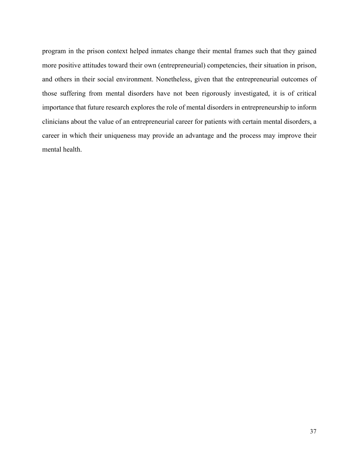program in the prison context helped inmates change their mental frames such that they gained more positive attitudes toward their own (entrepreneurial) competencies, their situation in prison, and others in their social environment. Nonetheless, given that the entrepreneurial outcomes of those suffering from mental disorders have not been rigorously investigated, it is of critical importance that future research explores the role of mental disorders in entrepreneurship to inform clinicians about the value of an entrepreneurial career for patients with certain mental disorders, a career in which their uniqueness may provide an advantage and the process may improve their mental health.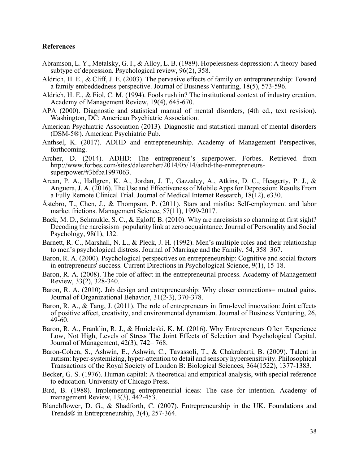## **References**

- Abramson, L. Y., Metalsky, G. I., & Alloy, L. B. (1989). Hopelessness depression: A theory-based subtype of depression. Psychological review, 96(2), 358.
- Aldrich, H. E., & Cliff, J. E. (2003). The pervasive effects of family on entrepreneurship: Toward a family embeddedness perspective. Journal of Business Venturing, 18(5), 573-596.
- Aldrich, H. E., & Fiol, C. M. (1994). Fools rush in? The institutional context of industry creation. Academy of Management Review, 19(4), 645-670.
- APA (2000). Diagnostic and statistical manual of mental disorders, (4th ed., text revision). Washington, DC: American Psychiatric Association.
- American Psychiatric Association (2013). Diagnostic and statistical manual of mental disorders (DSM-5®). American Psychiatric Pub.
- Anthsel, K. (2017). ADHD and entrepreneurship. Academy of Management Perspectives, forthcoming.
- Archer, D. (2014). ADHD: The entrepreneur's superpower. Forbes. Retrieved from http://www.forbes.com/sites/dalearcher/2014/05/14/adhd-the-entrepreneurssuperpower/#3bfba1997063.
- Arean, P. A., Hallgren, K. A., Jordan, J. T., Gazzaley, A., Atkins, D. C., Heagerty, P. J., & Anguera, J. A. (2016). The Use and Effectiveness of Mobile Apps for Depression: Results From a Fully Remote Clinical Trial. Journal of Medical Internet Research, 18(12), e330.
- Åstebro, T., Chen, J., & Thompson, P. (2011). Stars and misfits: Self-employment and labor market frictions. Management Science, 57(11), 1999-2017.
- Back, M. D., Schmukle, S. C., & Egloff, B. (2010). Why are narcissists so charming at first sight? Decoding the narcissism–popularity link at zero acquaintance. Journal of Personality and Social Psychology, 98(1), 132.
- Barnett, R. C., Marshall, N. L., & Pleck, J. H. (1992). Men's multiple roles and their relationship to men's psychological distress. Journal of Marriage and the Family, 54, 358–367.
- Baron, R. A. (2000). Psychological perspectives on entrepreneurship: Cognitive and social factors in entrepreneurs' success. Current Directions in Psychological Science, 9(1), 15-18.
- Baron, R. A. (2008). The role of affect in the entrepreneurial process. Academy of Management Review, 33(2), 328-340.
- Baron, R. A. (2010). Job design and entrepreneurship: Why closer connections= mutual gains. Journal of Organizational Behavior, 31(2-3), 370-378.
- Baron, R. A., & Tang, J. (2011). The role of entrepreneurs in firm-level innovation: Joint effects of positive affect, creativity, and environmental dynamism. Journal of Business Venturing, 26,  $49-60$ .
- Baron, R. A., Franklin, R. J., & Hmieleski, K. M. (2016). Why Entrepreneurs Often Experience Low, Not High, Levels of Stress The Joint Effects of Selection and Psychological Capital. Journal of Management, 42(3), 742– 768.
- Baron-Cohen, S., Ashwin, E., Ashwin, C., Tavassoli, T., & Chakrabarti, B. (2009). Talent in autism: hyper-systemizing, hyper-attention to detail and sensory hypersensitivity. Philosophical Transactions of the Royal Society of London B: Biological Sciences, 364(1522), 1377-1383.
- Becker, G. S. (1976). Human capital: A theoretical and empirical analysis, with special reference to education. University of Chicago Press.
- Bird, B. (1988). Implementing entrepreneurial ideas: The case for intention. Academy of management Review, 13(3), 442-453.
- Blanchflower, D. G., & Shadforth, C. (2007). Entrepreneurship in the UK. Foundations and Trends® in Entrepreneurship, 3(4), 257-364.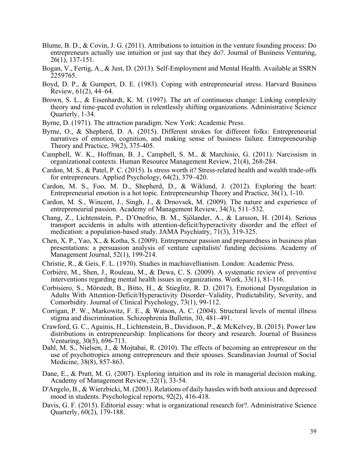- Blume, B. D., & Covin, J. G. (2011). Attributions to intuition in the venture founding process: Do entrepreneurs actually use intuition or just say that they do?. Journal of Business Venturing, 26(1), 137-151.
- Bogan, V., Fertig, A., & Just, D. (2013). Self-Employment and Mental Health. Available at SSRN 2259765.
- Boyd, D. P., & Gumpert, D. E. (1983). Coping with entrepreneurial stress. Harvard Business Review, 61(2), 44–64.
- Brown, S. L., & Eisenhardt, K. M. (1997). The art of continuous change: Linking complexity theory and time-paced evolution in relentlessly shifting organizations. Administrative Science Quarterly, 1-34.
- Byrne, D. (1971). The attraction paradigm. New York: Academic Press.
- Byrne, O., & Shepherd, D. A. (2015). Different strokes for different folks: Entrepreneurial narratives of emotion, cognition, and making sense of business failure. Entrepreneurship Theory and Practice, 39(2), 375-405.
- Campbell, W. K., Hoffman, B. J., Campbell, S. M., & Marchisio, G. (2011). Narcissism in organizational contexts. Human Resource Management Review, 21(4), 268-284.
- Cardon, M. S., & Patel, P. C. (2015). Is stress worth it? Stress-related health and wealth trade-offs for entrepreneurs. Applied Psychology, 64(2), 379–420.
- Cardon, M. S., Foo, M. D., Shepherd, D., & Wiklund, J. (2012). Exploring the heart: Entrepreneurial emotion is a hot topic. Entrepreneurship Theory and Practice, 36(1), 1-10.
- Cardon, M. S., Wincent, J., Singh, J., & Drnovsek, M. (2009). The nature and experience of entrepreneurial passion. Academy of Management Review, 34(3), 511–532.
- Chang, Z., Lichtenstein, P., D'Onofrio, B. M., Sjölander, A., & Larsson, H. (2014). Serious transport accidents in adults with attention-deficit/hyperactivity disorder and the effect of medication: a population-based study. JAMA Psychiatry, 71(3), 319-325.
- Chen, X. P., Yao, X., & Kotha, S. (2009). Entrepreneur passion and preparedness in business plan presentations: a persuasion analysis of venture capitalists' funding decisions. Academy of Management Journal, 52(1), 199-214.
- Christie, R., & Geis, F. L. (1970). Studies in machiavellianism. London: Academic Press.
- Corbière, M., Shen, J., Rouleau, M., & Dewa, C. S. (2009). A systematic review of preventive interventions regarding mental health issues in organizations. Work, 33(1), 81-116.
- Corbisiero, S., Mörstedt, B., Bitto, H., & Stieglitz, R. D. (2017). Emotional Dysregulation in Adults With Attention-Deficit/Hyperactivity Disorder–Validity, Predictability, Severity, and Comorbidity. Journal of Clinical Psychology, 73(1), 99-112.
- Corrigan, P. W., Markowitz, F. E., & Watson, A. C. (2004). Structural levels of mental illness stigma and discrimination. Schizophrenia Bulletin, 30, 481–491.
- Crawford, G. C., Aguinis, H., Lichtenstein, B., Davidsson, P., & McKelvey, B. (2015). Power law distributions in entrepreneurship: Implications for theory and research. Journal of Business Venturing, 30(5), 696-713.
- Dahl, M. S., Nielsen, J., & Mojtabai, R. (2010). The effects of becoming an entrepreneur on the use of psychotropics among entrepreneurs and their spouses. Scandinavian Journal of Social Medicine, 38(8), 857-863.
- Dane, E., & Pratt, M. G. (2007). Exploring intuition and its role in managerial decision making. Academy of Management Review, 32(1), 33-54.
- D'Angelo, B., & Wierzbicki, M. (2003). Relations of daily hassles with both anxious and depressed mood in students. Psychological reports, 92(2), 416-418.
- Davis, G. F. (2015). Editorial essay: what is organizational research for?. Administrative Science Quarterly, 60(2), 179-188.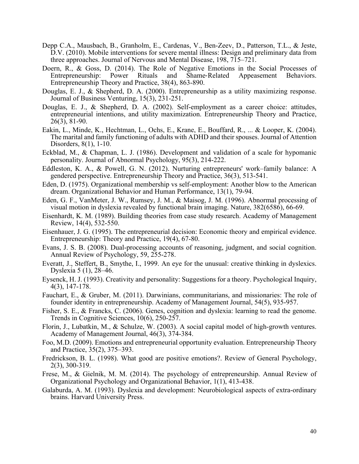- Depp C.A., Mausbach, B., Granholm, E., Cardenas, V., Ben-Zeev, D., Patterson, T.L., & Jeste, D.V. (2010). Mobile interventions for severe mental illness: Design and preliminary data from three approaches. Journal of Nervous and Mental Disease, 198, 715–721.
- Doern, R., & Goss, D. (2014). The Role of Negative Emotions in the Social Processes of Entrepreneurship: Power Rituals and Shame-Related Appeasement Behaviors. Entrepreneurship Theory and Practice, 38(4), 863-890.
- Douglas, E. J., & Shepherd, D. A. (2000). Entrepreneurship as a utility maximizing response. Journal of Business Venturing, 15(3), 231-251.
- Douglas, E. J., & Shepherd, D. A. (2002). Self-employment as a career choice: attitudes, entrepreneurial intentions, and utility maximization. Entrepreneurship Theory and Practice, 26(3), 81-90.
- Eakin, L., Minde, K., Hechtman, L., Ochs, E., Krane, E., Bouffard, R., ... & Looper, K. (2004). The marital and family functioning of adults with ADHD and their spouses. Journal of Attention Disorders, 8(1), 1-10.
- Eckblad, M., & Chapman, L. J. (1986). Development and validation of a scale for hypomanic personality. Journal of Abnormal Psychology, 95(3), 214-222.
- Eddleston, K. A., & Powell, G. N. (2012). Nurturing entrepreneurs' work–family balance: A gendered perspective. Entrepreneurship Theory and Practice, 36(3), 513-541.
- Eden, D. (1975). Organizational membership vs self-employment: Another blow to the American dream. Organizational Behavior and Human Performance, 13(1), 79-94.
- Eden, G. F., VanMeter, J. W., Rumsey, J. M., & Maisog, J. M. (1996). Abnormal processing of visual motion in dyslexia revealed by functional brain imaging. Nature, 382(6586), 66-69.
- Eisenhardt, K. M. (1989). Building theories from case study research. Academy of Management Review, 14(4), 532-550.
- Eisenhauer, J. G. (1995). The entrepreneurial decision: Economic theory and empirical evidence. Entrepreneurship: Theory and Practice, 19(4), 67-80.
- Evans, J. S. B. (2008). Dual-processing accounts of reasoning, judgment, and social cognition. Annual Review of Psychology, 59, 255-278.
- Everatt, J., Steffert, B., Smythe, I., 1999. An eye for the unusual: creative thinking in dyslexics. Dyslexia 5 (1), 28–46.
- Eysenck, H. J. (1993). Creativity and personality: Suggestions for a theory. Psychological Inquiry, 4(3), 147-178.
- Fauchart, E., & Gruber, M. (2011). Darwinians, communitarians, and missionaries: The role of founder identity in entrepreneurship. Academy of Management Journal, 54(5), 935-957.
- Fisher, S. E., & Francks, C. (2006). Genes, cognition and dyslexia: learning to read the genome. Trends in Cognitive Sciences, 10(6), 250-257.
- Florin, J., Lubatkin, M., & Schulze, W. (2003). A social capital model of high-growth ventures. Academy of Management Journal, 46(3), 374-384.
- Foo, M.D. (2009). Emotions and entrepreneurial opportunity evaluation. Entrepreneurship Theory and Practice, 35(2), 375–393.
- Fredrickson, B. L. (1998). What good are positive emotions?. Review of General Psychology, 2(3), 300-319.
- Frese, M., & Gielnik, M. M. (2014). The psychology of entrepreneurship. Annual Review of Organizational Psychology and Organizational Behavior, 1(1), 413-438.
- Galaburda, A. M. (1993). Dyslexia and development: Neurobiological aspects of extra-ordinary brains. Harvard University Press.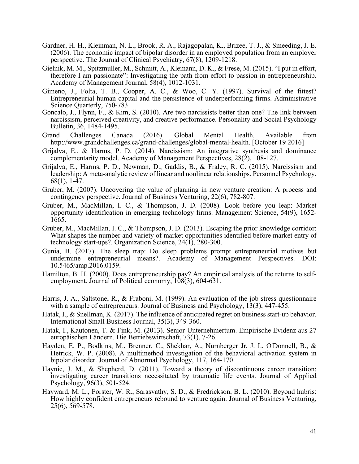- Gardner, H. H., Kleinman, N. L., Brook, R. A., Rajagopalan, K., Brizee, T. J., & Smeeding, J. E. (2006). The economic impact of bipolar disorder in an employed population from an employer perspective. The Journal of Clinical Psychiatry, 67(8), 1209-1218.
- Gielnik, M. M., Spitzmuller, M., Schmitt, A., Klemann, D. K., & Frese, M. (2015). "I put in effort, therefore I am passionate": Investigating the path from effort to passion in entrepreneurship. Academy of Management Journal, 58(4), 1012-1031.
- Gimeno, J., Folta, T. B., Cooper, A. C., & Woo, C. Y. (1997). Survival of the fittest? Entrepreneurial human capital and the persistence of underperforming firms. Administrative Science Quarterly, 750-783.
- Goncalo, J., Flynn, F., & Kim, S. (2010). Are two narcissists better than one? The link between narcissism, perceived creativity, and creative performance. Personality and Social Psychology Bulletin, 36, 1484-1495.
- Grand Challenges Canada (2016). Global Mental Health. Available from http://www.grandchallenges.ca/grand-challenges/global-mental-health. [October 19 2016]
- Grijalva, E., & Harms, P. D. (2014). Narcissism: An integrative synthesis and dominance complementarity model. Academy of Management Perspectives, 28(2), 108-127.
- Grijalva, E., Harms, P. D., Newman, D., Gaddis, B., & Fraley, R. C. (2015). Narcissism and leadership: A meta-analytic review of linear and nonlinear relationships. Personnel Psychology, 68(1), 1-47.
- Gruber, M. (2007). Uncovering the value of planning in new venture creation: A process and contingency perspective. Journal of Business Venturing, 22(6), 782-807.
- Gruber, M., MacMillan, I. C., & Thompson, J. D. (2008). Look before you leap: Market opportunity identification in emerging technology firms. Management Science, 54(9), 1652- 1665.
- Gruber, M., MacMillan, I. C., & Thompson, J. D. (2013). Escaping the prior knowledge corridor: What shapes the number and variety of market opportunities identified before market entry of technology start-ups?. Organization Science,  $24(1)$ ,  $280-300$ .
- Gunia, B. (2017). The sleep trap: Do sleep problems prompt entrepreneurial motives but undermine entrepreneurial means?. Academy of Management Perspectives. DOI: 10.5465/amp.2016.0159.
- Hamilton, B. H. (2000). Does entrepreneurship pay? An empirical analysis of the returns to self-<br>employment. Journal of Political economy, 108(3), 604-631.
- Harris, J. A., Saltstone, R., & Fraboni, M. (1999). An evaluation of the job stress questionnaire with a sample of entrepreneurs. Journal of Business and Psychology, 13(3), 447-455.
- Hatak, I., & Snellman, K. (2017). The influence of anticipated regret on business start-up behavior. International Small Business Journal, 35(3), 349-360.
- Hatak, I., Kautonen, T. & Fink, M. (2013). Senior-Unternehmertum. Empirische Evidenz aus 27 europäischen Ländern. Die Betriebswirtschaft, 73(1), 7-26.
- Hayden, E. P., Bodkins, M., Brenner, C., Shekhar, A., Nurnberger Jr, J. I., O'Donnell, B., & Hetrick, W. P. (2008). A multimethod investigation of the behavioral activation system in bipolar disorder. Journal of Abnormal Psychology, 117, 164-170
- Haynie, J. M., & Shepherd, D. (2011). Toward a theory of discontinuous career transition: investigating career transitions necessitated by traumatic life events. Journal of Applied Psychology, 96(3), 501-524.
- Hayward, M. L., Forster, W. R., Sarasvathy, S. D., & Fredrickson, B. L. (2010). Beyond hubris: How highly confident entrepreneurs rebound to venture again. Journal of Business Venturing, 25(6), 569-578.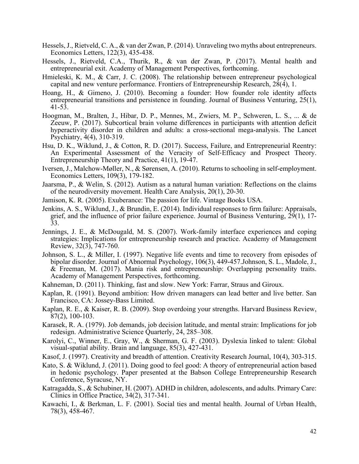- Hessels, J., Rietveld, C. A., & van der Zwan, P. (2014). Unraveling two myths about entrepreneurs. Economics Letters, 122(3), 435-438.
- Hessels, J., Rietveld, C.A., Thurik, R., & van der Zwan, P. (2017). Mental health and entrepreneurial exit. Academy of Management Perspectives, forthcoming.
- Hmieleski, K. M., & Carr, J. C. (2008). The relationship between entrepreneur psychological capital and new venture performance. Frontiers of Entrepreneurship Research, 28(4), 1.
- Hoang, H., & Gimeno, J. (2010). Becoming a founder: How founder role identity affects entrepreneurial transitions and persistence in founding. Journal of Business Venturing, 25(1), 41-53.
- Hoogman, M., Bralten, J., Hibar, D. P., Mennes, M., Zwiers, M. P., Schweren, L. S., ... & de Zeeuw, P. (2017). Subcortical brain volume differences in participants with attention deficit hyperactivity disorder in children and adults: a cross-sectional mega-analysis. The Lancet Psychiatry, 4(4), 310-319.
- Hsu, D. K., Wiklund, J., & Cotton, R. D. (2017). Success, Failure, and Entrepreneurial Reentry: An Experimental Assessment of the Veracity of Self-Efficacy and Prospect Theory. Entrepreneurship Theory and Practice, 41(1), 19-47.
- Iversen, J., Malchow-Møller, N., & Sørensen, A. (2010). Returns to schooling in self-employment. Economics Letters, 109(3), 179-182.
- Jaarsma, P., & Welin, S. (2012). Autism as a natural human variation: Reflections on the claims of the neurodiversity movement. Health Care Analysis, 20(1), 20-30.
- Jamison, K. R. (2005). Exuberance: The passion for life. Vintage Books USA.
- Jenkins, A. S., Wiklund, J., & Brundin, E. (2014). Individual responses to firm failure: Appraisals, grief, and the influence of prior failure experience. Journal of Business Venturing, 29(1), 17- 33.
- Jennings, J. E., & McDougald, M. S. (2007). Work-family interface experiences and coping strategies: Implications for entrepreneurship research and practice. Academy of Management Review, 32(3), 747-760.
- Johnson, S. L., & Miller, I. (1997). Negative life events and time to recovery from episodes of bipolar disorder. Journal of Abnormal Psychology, 106(3), 449-457.Johnson, S. L., Madole, J., & Freeman, M. (2017). Mania risk and entrepreneurship: Overlapping personality traits. Academy of Management Perspectives, forthcoming.
- Kahneman, D. (2011). Thinking, fast and slow. New York: Farrar, Straus and Giroux.
- Kaplan, R. (1991). Beyond ambition: How driven managers can lead better and live better. San Francisco, CA: Jossey-Bass Limited.
- Kaplan, R. E., & Kaiser, R. B. (2009). Stop overdoing your strengths. Harvard Business Review, 87(2), 100-103.
- Karasek, R. A. (1979). Job demands, job decision latitude, and mental strain: Implications for job redesign. Administrative Science Quarterly, 24, 285–308.
- Karolyi, C., Winner, E., Gray, W., & Sherman, G. F. (2003). Dyslexia linked to talent: Global visual-spatial ability. Brain and language, 85(3), 427-431.
- Kasof, J. (1997). Creativity and breadth of attention. Creativity Research Journal, 10(4), 303-315.
- Kato, S. & Wiklund, J. (2011). Doing good to feel good: A theory of entrepreneurial action based in hedonic psychology. Paper presented at the Babson College Entrepreneurship Research Conference, Syracuse, NY.
- Katragadda, S., & Schubiner, H. (2007). ADHD in children, adolescents, and adults. Primary Care: Clinics in Office Practice, 34(2), 317-341.
- Kawachi, I., & Berkman, L. F. (2001). Social ties and mental health. Journal of Urban Health, 78(3), 458-467.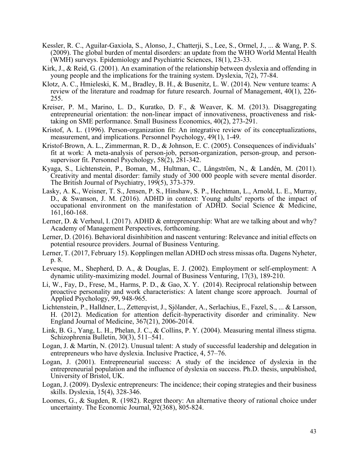- Kessler, R. C., Aguilar-Gaxiola, S., Alonso, J., Chatterji, S., Lee, S., Ormel, J., ... & Wang, P. S. (2009). The global burden of mental disorders: an update from the WHO World Mental Health (WMH) surveys. Epidemiology and Psychiatric Sciences, 18(1), 23-33.
- Kirk, J., & Reid, G. (2001). An examination of the relationship between dyslexia and offending in young people and the implications for the training system. Dyslexia, 7(2), 77-84.
- Klotz, A. C., Hmieleski, K. M., Bradley, B. H., & Busenitz, L. W. (2014). New venture teams: A review of the literature and roadmap for future research. Journal of Management, 40(1), 226-<br>255.
- Kreiser, P. M., Marino, L. D., Kuratko, D. F., & Weaver, K. M. (2013). Disaggregating entrepreneurial orientation: the non-linear impact of innovativeness, proactiveness and risktaking on SME performance. Small Business Economics, 40(2), 273-291.
- Kristof, A. L. (1996). Person-organization fit: An integrative review of its conceptualizations, measurement, and implications. Personnel Psychology, 49(1), 1-49.
- Kristof-Brown, A. L., Zimmerman, R. D., & Johnson, E. C. (2005). Consequences of individuals' fit at work: A meta-analysis of person-job, person-organization, person-group, and personsupervisor fit. Personnel Psychology, 58(2), 281-342.
- Kyaga, S., Lichtenstein, P., Boman, M., Hultman, C., Långström, N., & Landén, M. (2011). Creativity and mental disorder: family study of 300 000 people with severe mental disorder. The British Journal of Psychiatry, 199(5), 373-379.
- Lasky, A. K., Weisner, T. S., Jensen, P. S., Hinshaw, S. P., Hechtman, L., Arnold, L. E., Murray, D., & Swanson, J. M. (2016). ADHD in context: Young adults' reports of the impact of occupational environment on the manifestation of ADHD. Social Science & Medicine, 161,160-168.
- Lerner, D. & Verheul, I. (2017). ADHD & entrepreneurship: What are we talking about and why? Academy of Management Perspectives, forthcoming.
- Lerner, D. (2016). Behavioral disinhibition and nascent venturing: Relevance and initial effects on potential resource providers. Journal of Business Venturing.
- Lerner, T. (2017, February 15). Kopplingen mellan ADHD och stress missas ofta. Dagens Nyheter, p. 8.
- Levesque, M., Shepherd, D. A., & Douglas, E. J. (2002). Employment or self-employment: A dynamic utility-maximizing model. Journal of Business Venturing, 17(3), 189-210.
- Li, W., Fay, D., Frese, M., Harms, P. D., & Gao, X. Y. (2014). Reciprocal relationship between proactive personality and work characteristics: A latent change score approach. Journal of Applied Psychology, 99, 948-965.
- Lichtenstein, P., Halldner, L., Zetterqvist, J., Sjölander, A., Serlachius, E., Fazel, S., ... & Larsson, H. (2012). Medication for attention deficit–hyperactivity disorder and criminality. New England Journal of Medicine, 367(21), 2006-2014.
- Link, B. G., Yang, L. H., Phelan, J. C., & Collins, P. Y. (2004). Measuring mental illness stigma. Schizophrenia Bulletin, 30(3), 511–541.
- Logan, J. & Martin, N. (2012). Unusual talent: A study of successful leadership and delegation in entrepreneurs who have dyslexia. Inclusive Practice, 4, 57–76.
- Logan, J. (2001). Entrepreneurial success: A study of the incidence of dyslexia in the entrepreneurial population and the influence of dyslexia on success. Ph.D. thesis, unpublished, University of Bristol, UK.
- Logan, J. (2009). Dyslexic entrepreneurs: The incidence; their coping strategies and their business skills. Dyslexia, 15(4), 328-346.
- Loomes, G., & Sugden, R. (1982). Regret theory: An alternative theory of rational choice under uncertainty. The Economic Journal, 92(368), 805-824.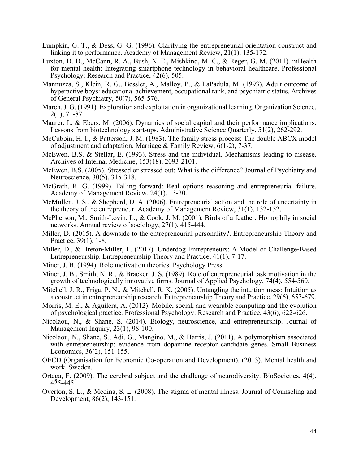- Lumpkin, G. T., & Dess, G. G. (1996). Clarifying the entrepreneurial orientation construct and linking it to performance. Academy of Management Review, 21(1), 135-172.
- Luxton, D. D., McCann, R. A., Bush, N. E., Mishkind, M. C., & Reger, G. M. (2011). mHealth for mental health: Integrating smartphone technology in behavioral healthcare. Professional Psychology: Research and Practice, 42(6), 505.
- Mannuzza, S., Klein, R. G., Bessler, A., Malloy, P., & LaPadula, M. (1993). Adult outcome of hyperactive boys: educational achievement, occupational rank, and psychiatric status. Archives of General Psychiatry, 50(7), 565-576.
- March, J. G. (1991). Exploration and exploitation in organizational learning. Organization Science, 2(1), 71-87.
- Maurer, I., & Ebers, M. (2006). Dynamics of social capital and their performance implications: Lessons from biotechnology start-ups. Administrative Science Quarterly, 51(2), 262-292.
- McCubbin, H. I., & Patterson, J. M. (1983). The family stress process: The double ABCX model of adjustment and adaptation. Marriage & Family Review, 6(1-2), 7-37.
- McEwen, B.S. & Stellar, E. (1993). Stress and the individual. Mechanisms leading to disease. Archives of Internal Medicine, 153(18), 2093-2101.
- McEwen, B.S. (2005). Stressed or stressed out: What is the difference? Journal of Psychiatry and Neuroscience, 30(5), 315-318.
- McGrath, R. G. (1999). Falling forward: Real options reasoning and entrepreneurial failure. Academy of Management Review, 24(1), 13-30.
- McMullen, J. S., & Shepherd, D. A. (2006). Entrepreneurial action and the role of uncertainty in the theory of the entrepreneur. Academy of Management Review, 31(1), 132-152.
- McPherson, M., Smith-Lovin, L., & Cook, J. M. (2001). Birds of a feather: Homophily in social networks. Annual review of sociology, 27(1), 415-444.
- Miller, D. (2015). A downside to the entrepreneurial personality?. Entrepreneurship Theory and Practice, 39(1), 1-8.
- Miller, D., & Breton-Miller, L. (2017). Underdog Entrepreneurs: A Model of Challenge-Based Entrepreneurship. Entrepreneurship Theory and Practice, 41(1), 7-17.
- Miner, J. B. (1994). Role motivation theories. Psychology Press.
- Miner, J. B., Smith, N. R., & Bracker, J. S. (1989). Role of entrepreneurial task motivation in the growth of technologically innovative firms. Journal of Applied Psychology, 74(4), 554-560.
- Mitchell, J. R., Friga, P. N., & Mitchell, R. K. (2005). Untangling the intuition mess: Intuition as a construct in entrepreneurship research. Entrepreneurship Theory and Practice, 29(6), 653-679.
- Morris, M. E., & Aguilera, A. (2012). Mobile, social, and wearable computing and the evolution of psychological practice. Professional Psychology: Research and Practice, 43(6), 622-626.
- Nicolaou, N., & Shane, S. (2014). Biology, neuroscience, and entrepreneurship. Journal of Management Inquiry, 23(1), 98-100.
- Nicolaou, N., Shane, S., Adi, G., Mangino, M., & Harris, J. (2011). A polymorphism associated with entrepreneurship: evidence from dopamine receptor candidate genes. Small Business Economics, 36(2), 151-155.
- OECD (Organisation for Economic Co-operation and Development). (2013). Mental health and work. Sweden.
- Ortega, F. (2009). The cerebral subject and the challenge of neurodiversity. BioSocieties, 4(4), 425-445.
- Overton, S. L., & Medina, S. L. (2008). The stigma of mental illness. Journal of Counseling and Development, 86(2), 143-151.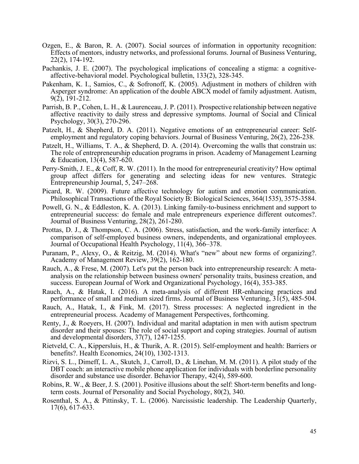- Ozgen, E., & Baron, R. A. (2007). Social sources of information in opportunity recognition: Effects of mentors, industry networks, and professional forums. Journal of Business Venturing, 22(2), 174-192.
- Pachankis, J. E. (2007). The psychological implications of concealing a stigma: a cognitiveaffective-behavioral model. Psychological bulletin, 133(2), 328-345.
- Pakenham, K. I., Samios, C., & Sofronoff, K. (2005). Adjustment in mothers of children with Asperger syndrome: An application of the double ABCX model of family adjustment. Autism, 9(2), 191-212.
- Parrish, B. P., Cohen, L. H., & Laurenceau, J. P. (2011). Prospective relationship between negative affective reactivity to daily stress and depressive symptoms. Journal of Social and Clinical Psychology, 30(3), 270-296.
- Patzelt, H., & Shepherd, D. A. (2011). Negative emotions of an entrepreneurial career: Self-<br>employment and regulatory coping behaviors. Journal of Business Venturing, 26(2), 226-238.
- Patzelt, H., Williams, T. A., & Shepherd, D. A. (2014). Overcoming the walls that constrain us: The role of entrepreneurship education programs in prison. Academy of Management Learning & Education, 13(4), 587-620.
- Perry-Smith, J. E., & Coff, R. W. (2011). In the mood for entrepreneurial creativity? How optimal group affect differs for generating and selecting ideas for new ventures. Strategic Entrepreneurship Journal, 5, 247–268.
- Picard, R. W. (2009). Future affective technology for autism and emotion communication. Philosophical Transactions of the Royal Society B: Biological Sciences, 364(1535), 3575-3584.
- Powell, G. N., & Eddleston, K. A. (2013). Linking family-to-business enrichment and support to entrepreneurial success: do female and male entrepreneurs experience different outcomes?. Journal of Business Venturing, 28(2), 261-280.
- Prottas, D. J., & Thompson, C. A. (2006). Stress, satisfaction, and the work-family interface: A comparison of self-employed business owners, independents, and organizational employees. Journal of Occupational Health Psychology, 11(4), 366–378.
- Puranam, P., Alexy, O., & Reitzig, M. (2014). What's "new" about new forms of organizing?. Academy of Management Review, 39(2), 162-180.
- Rauch, A., & Frese, M. (2007). Let's put the person back into entrepreneurship research: A metaanalysis on the relationship between business owners' personality traits, business creation, and success. European Journal of Work and Organizational Psychology, 16(4), 353-385.
- Rauch, A., & Hatak, I. (2016). A meta-analysis of different HR-enhancing practices and performance of small and medium sized firms. Journal of Business Venturing, 31(5), 485-504.
- Rauch, A., Hatak, I., & Fink, M. (2017). Stress processes: A neglected ingredient in the entrepreneurial process. Academy of Management Perspectives, forthcoming.
- Renty, J., & Roeyers, H. (2007). Individual and marital adaptation in men with autism spectrum disorder and their spouses: The role of social support and coping strategies. Journal of autism and developmental disorders, 37(7), 1247-1255.
- Rietveld, C. A., Kippersluis, H., & Thurik, A. R. (2015). Self-employment and health: Barriers or benefits?. Health Economics, 24(10), 1302-1313.
- Rizvi, S. L., Dimeff, L. A., Skutch, J., Carroll, D., & Linehan, M. M. (2011). A pilot study of the DBT coach: an interactive mobile phone application for individuals with borderline personality disorder and substance use disorder. Behavior Therapy, 42(4), 589-600.
- Robins, R. W., & Beer, J. S. (2001). Positive illusions about the self: Short-term benefits and longterm costs. Journal of Personality and Social Psychology, 80(2), 340.
- Rosenthal, S. A., & Pittinsky, T. L. (2006). Narcissistic leadership. The Leadership Quarterly, 17(6), 617-633.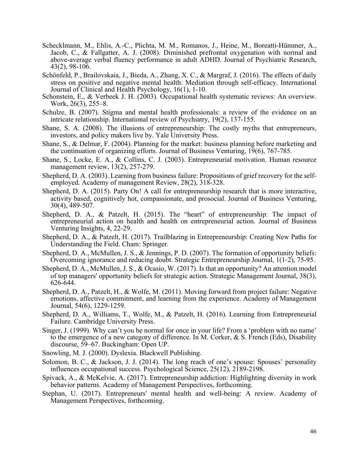- Schecklmann, M., Ehlis, A.-C., Plichta, M. M., Romanos, J., Heine, M., Boreatti-Hümmer, A., Jacob, C., & Fallgatter, A. J. (2008). Diminished prefrontal oxygenation with normal and above-average verbal fluency performance in adult ADHD. Journal of Psychiatric Research, 43(2), 98-106.
- Schönfeld, P., Brailovskaia, J., Bieda, A., Zhang, X. C., & Margraf, J. (2016). The effects of daily stress on positive and negative mental health: Mediation through self-efficacy. International Journal of Clinical and Health Psychology, 16(1), 1-10.
- Schonstein, E., & Verbeek J. H. (2003). Occupational health systematic reviews: An overview. Work, 26(3), 255–8.
- Schulze, B. (2007). Stigma and mental health professionals: a review of the evidence on an intricate relationship. International review of Psychiatry, 19(2), 137-155.
- Shane, S. A. (2008). The illusions of entrepreneurship: The costly myths that entrepreneurs, investors, and policy makers live by. Yale University Press.
- Shane, S., & Delmar, F. (2004). Planning for the market: business planning before marketing and the continuation of organizing efforts. Journal of Business Venturing, 19(6), 767-785.
- Shane, S., Locke, E. A., & Collins, C. J. (2003). Entrepreneurial motivation. Human resource management review, 13(2), 257-279.
- Shepherd, D. A. (2003). Learning from business failure: Propositions of grief recovery for the self-employed. Academy of management Review, 28(2), 318-328.
- Shepherd, D. A. (2015). Party On! A call for entrepreneurship research that is more interactive, activity based, cognitively hot, compassionate, and prosocial. Journal of Business Venturing, 30(4), 489-507.
- Shepherd, D. A., & Patzelt, H. (2015). The "heart" of entrepreneurship: The impact of entrepreneurial action on health and health on entrepreneurial action. Journal of Business Venturing Insights, 4, 22-29.
- Shepherd, D. A., & Patzelt, H. (2017). Trailblazing in Entrepreneurship: Creating New Paths for Understanding the Field. Cham: Springer.
- Shepherd, D. A., McMullen, J. S., & Jennings, P. D. (2007). The formation of opportunity beliefs: Overcoming ignorance and reducing doubt. Strategic Entrepreneurship Journal, 1(1-2), 75-95.
- Shepherd, D. A., McMullen, J. S., & Ocasio, W. (2017). Is that an opportunity? An attention model of top managers' opportunity beliefs for strategic action. Strategic Management Journal, 38(3), 626-644.
- Shepherd, D. A., Patzelt, H., & Wolfe, M. (2011). Moving forward from project failure: Negative emotions, affective commitment, and learning from the experience. Academy of Management Journal, 54(6), 1229-1259.
- Shepherd, D. A., Williams, T., Wolfe, M., & Patzelt, H. (2016). Learning from Entrepreneurial Failure. Cambridge University Press.
- Singer, J. (1999). Why can't you be normal for once in your life? From a 'problem with no name' to the emergence of a new category of difference. In M. Corker, & S. French (Eds), Disability discourse, 59–67. Buckingham: Open UP.
- Snowling, M. J. (2000). Dyslexia. Blackwell Publishing.
- Solomon, B. C., & Jackson, J. J. (2014). The long reach of one's spouse: Spouses' personality influences occupational success. Psychological Science, 25(12), 2189-2198.
- Spivack, A., & McKelvie, A. (2017). Entrepreneurship addiction: Highlighting diversity in work behavior patterns. Academy of Management Perspectives, forthcoming.
- Stephan, U. (2017). Entrepreneurs' mental health and well-being: A review. Academy of Management Perspectives, forthcoming.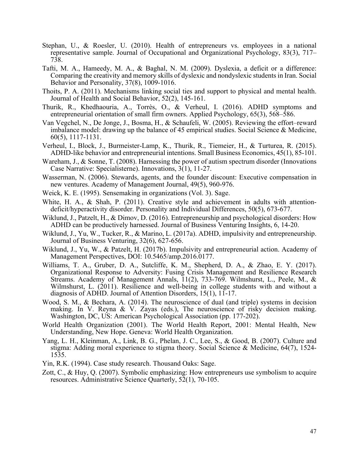- Stephan, U., & Roesler, U. (2010). Health of entrepreneurs vs. employees in a national representative sample. Journal of Occupational and Organizational Psychology, 83(3), 717– 738.
- Tafti, M. A., Hameedy, M. A., & Baghal, N. M. (2009). Dyslexia, a deficit or a difference: Comparing the creativity and memory skills of dyslexic and nondyslexic students in Iran. Social Behavior and Personality, 37(8), 1009-1016.
- Thoits, P. A. (2011). Mechanisms linking social ties and support to physical and mental health. Journal of Health and Social Behavior, 52(2), 145-161.
- Thurik, R., Khedhaouria, A., Torrès, O., & Verheul, I. (2016). ADHD symptoms and entrepreneurial orientation of small firm owners. Applied Psychology, 65(3), 568–586.
- Van Vegchel, N., De Jonge, J., Bosma, H., & Schaufeli, W. (2005). Reviewing the effort–reward imbalance model: drawing up the balance of 45 empirical studies. Social Science & Medicine, 60(5), 1117-1131.
- Verheul, I., Block, J., Burmeister-Lamp, K., Thurik, R., Tiemeier, H., & Turturea, R. (2015). ADHD-like behavior and entrepreneurial intentions. Small Business Economics, 45(1), 85-101.
- Wareham, J., & Sonne, T. (2008). Harnessing the power of autism spectrum disorder (Innovations Case Narrative: Specialisterne). Innovations, 3(1), 11-27.
- Wasserman, N. (2006). Stewards, agents, and the founder discount: Executive compensation in new ventures. Academy of Management Journal, 49(5), 960-976.
- Weick, K. E. (1995). Sensemaking in organizations (Vol. 3). Sage.
- White, H. A.,  $\&$  Shah, P. (2011). Creative style and achievement in adults with attentiondeficit/hyperactivity disorder. Personality and Individual Differences, 50(5), 673-677.
- Wiklund, J., Patzelt, H., & Dimov, D. (2016). Entrepreneurship and psychological disorders: How ADHD can be productively harnessed. Journal of Business Venturing Insights, 6, 14-20.
- Wiklund, J., Yu, W., Tucker, R., & Marino, L. (2017a). ADHD, impulsivity and entrepreneurship. Journal of Business Venturing, 32(6), 627-656.
- Wiklund, J., Yu, W., & Patzelt, H. (2017b). Impulsivity and entrepreneurial action. Academy of Management Perspectives, DOI: 10.5465/amp.2016.0177.
- Williams, T. A., Gruber, D. A., Sutcliffe, K. M., Shepherd, D. A., & Zhao, E. Y. (2017). Organizational Response to Adversity: Fusing Crisis Management and Resilience Research Streams. Academy of Management Annals, 11(2), 733-769. Wilmshurst, L., Peele, M., & Wilmshurst, L. (2011). Resilience and well-being in college students with and without a diagnosis of ADHD. Journal of Attention Disorders, 15(1), 11-17.
- Wood, S. M., & Bechara, A. (2014). The neuroscience of dual (and triple) systems in decision making. In V. Reyna  $\&$  V. Zayas (eds.), The neuroscience of risky decision making. Washington, DC, US: American Psychological Association (pp. 177-202).
- World Health Organization (2001). The World Health Report, 2001: Mental Health, New Understanding, New Hope. Geneva: World Health Organization.
- Yang, L. H., Kleinman, A., Link, B. G., Phelan, J. C., Lee, S., & Good, B. (2007). Culture and stigma: Adding moral experience to stigma theory. Social Science & Medicine, 64(7), 1524- 1535.
- Yin, R.K. (1994). Case study research. Thousand Oaks: Sage.
- Zott, C., & Huy, Q. (2007). Symbolic emphasizing: How entrepreneurs use symbolism to acquire resources. Administrative Science Quarterly, 52(1), 70-105.